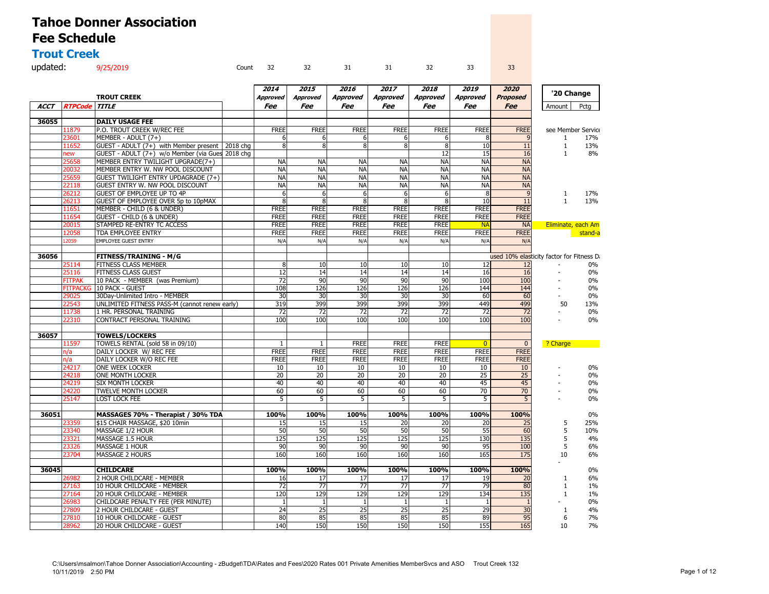#### **Trout Creek**

| updated: 9/25/2019 |  |  |  | Count 32 32 31 31 32 33 33 |  |
|--------------------|--|--|--|----------------------------|--|
|                    |  |  |  |                            |  |

|             |                 |                                                  |          | 2014         | 2015            | 2016            | 2017            | 2018            | 2019            | 2020                                      |                | '20 Change         |
|-------------|-----------------|--------------------------------------------------|----------|--------------|-----------------|-----------------|-----------------|-----------------|-----------------|-------------------------------------------|----------------|--------------------|
|             |                 | <b>TROUT CREEK</b>                               |          | Approved     | <b>Approved</b> | <b>Approved</b> | <b>Approved</b> | <b>Approved</b> | <b>Approved</b> | <b>Proposed</b>                           |                |                    |
| <b>ACCT</b> | <b>RTPCode</b>  | <b>TITLE</b>                                     |          | Fee          | Fee             | Fee             | Fee             | Fee             | Fee             | <b>Fee</b>                                | Amount         | Pctg               |
|             |                 |                                                  |          |              |                 |                 |                 |                 |                 |                                           |                |                    |
| 36055       |                 | <b>DAILY USAGE FEE</b>                           |          |              |                 |                 |                 |                 |                 |                                           |                |                    |
|             | 11879           | P.O. TROUT CREEK W/REC FEE                       |          | <b>FREE</b>  | <b>FREE</b>     | <b>FREE</b>     | <b>FREE</b>     | <b>FREE</b>     | <b>FREE</b>     | <b>FREE</b>                               |                | see Member Service |
|             | 23601           | MEMBER - ADULT (7+)                              |          | 6            | 6               | 6               | 6               | 6               | 8               | q                                         | $\mathbf{1}$   | 17%                |
|             | 11652           | GUEST - ADULT (7+) with Member present           | 2018 chg | 8            | 8               | 8               | 8               | 8               | 10              | 11                                        | $\mathbf{1}$   | 13%                |
|             | ew              | GUEST - ADULT (7+) w/o Member (via Gues 2018 chg |          |              |                 |                 |                 | 12              | 15              | 16                                        | $\mathbf{1}$   | 8%                 |
|             | 25658           | MEMBER ENTRY TWILIGHT UPGRADE(7+)                |          | <b>NA</b>    | <b>NA</b>       | <b>NA</b>       | <b>NA</b>       | <b>NA</b>       | <b>NA</b>       | <b>NA</b>                                 |                |                    |
|             | 20032           | MEMBER ENTRY W. NW POOL DISCOUNT                 |          | <b>NA</b>    | <b>NA</b>       | <b>NA</b>       | <b>NA</b>       | <b>NA</b>       | <b>NA</b>       | <b>NA</b>                                 |                |                    |
|             | 25659           | GUEST TWILIGHT ENTRY UPDAGRADE (7+)              |          | <b>NA</b>    | <b>NA</b>       | <b>NA</b>       | <b>NA</b>       | <b>NA</b>       | <b>NA</b>       | <b>NA</b>                                 |                |                    |
|             | 22118           | GUEST ENTRY W. NW POOL DISCOUNT                  |          | <b>NA</b>    | <b>NA</b>       | <b>NA</b>       | <b>NA</b>       | <b>NA</b>       | <b>NA</b>       | <b>NA</b>                                 |                |                    |
|             | 26212           | GUEST OF EMPLOYEE UP TO 4P                       |          | 6            | 6               | 6               | 6               | 6               | 8               | 9                                         | $\mathbf{1}$   | 17%                |
|             | 26213           | GUEST OF EMPLOYEE OVER 5p to 10pMAX              |          | 8            | 8               | 8               | 8               | 8               | 10              | 11                                        | $\mathbf{1}$   | 13%                |
|             | 11651           | MEMBER - CHILD (6 & UNDER)                       |          | <b>FREE</b>  | <b>FREE</b>     | <b>FREE</b>     | <b>FREE</b>     | <b>FREE</b>     | <b>FREE</b>     | <b>FREE</b>                               |                |                    |
|             | 11654           | <b>GUEST - CHILD (6 &amp; UNDER)</b>             |          | <b>FREE</b>  | <b>FREE</b>     | <b>FREE</b>     | <b>FREE</b>     | <b>FREE</b>     | <b>FREE</b>     | <b>FREE</b>                               |                |                    |
|             | 20015           | STAMPED RE-ENTRY TC ACCESS                       |          | <b>FREE</b>  | <b>FREE</b>     | <b>FREE</b>     | <b>FREE</b>     | <b>FREE</b>     | <b>NA</b>       | <b>NA</b>                                 |                | Eliminate, each Am |
|             | 12058           | TDA EMPLOYEE ENTRY                               |          | <b>FREE</b>  | <b>FREE</b>     | <b>FREE</b>     | <b>FREE</b>     | <b>FREE</b>     | <b>FREE</b>     | <b>FREE</b>                               |                | stand-a            |
|             | 12059           | <b>EMPLOYEE GUEST ENTRY</b>                      |          | N/A          | N/A             | N/A             | N/A             | N/A             | N/A             | N/A                                       |                |                    |
|             |                 |                                                  |          |              |                 |                 |                 |                 |                 |                                           |                |                    |
| 36056       |                 | <b>FITNESS/TRAINING - M/G</b>                    |          |              |                 |                 |                 |                 |                 | used 10% elasticity factor for Fitness Da |                |                    |
|             | 25114           | FITNESS CLASS MEMBER                             |          | 8            | 10              | 10              | 10              | 10              | 12              | 12                                        |                | $0\%$              |
|             | 25116           | FITNESS CLASS GUEST                              |          | 12           | 14              | 14              | 14              | 14              | 16              | 16                                        |                | $0\%$              |
|             | <b>FITPAK</b>   | 10 PACK - MEMBER (was Premium)                   |          | 72           | 90              | 90              | 90              | 90              | 100             | 100                                       |                | $0\%$              |
|             | <b>FITPACKG</b> | 10 PACK - GUEST                                  |          | 108          | 126             | 126             | 126             | 126             | 144             | 144                                       | $\blacksquare$ | $0\%$              |
|             | 29025           | 30Day-Unlimited Intro - MEMBER                   |          | 30           | 30              | 30              | 30              | 30              | 60              | 60                                        |                | 0%                 |
|             | 22543           | UNLIMITED FITNESS PASS-M (cannot renew early)    |          | 319          | 399             | 399             | 399             | 399             | 449             | 499                                       | 50             | 13%                |
|             | 11738           | 1 HR. PERSONAL TRAINING                          |          | 72           | 72              | 72              | 72              | 72              | 72              | 72                                        |                | $0\%$              |
|             | 22310           | CONTRACT PERSONAL TRAINING                       |          | 100          | 100             | 100             | 100             | 100             | 100             | 100                                       |                | $0\%$              |
| 36057       |                 | <b>TOWELS/LOCKERS</b>                            |          |              |                 |                 |                 |                 |                 |                                           |                |                    |
|             | 11597           | TOWELS RENTAL (sold 58 in 09/10)                 |          | $\mathbf{1}$ | $\overline{1}$  | <b>FREE</b>     | <b>FREE</b>     | <b>FREE</b>     | $\overline{0}$  | $\overline{0}$                            | ? Charge       |                    |
|             | n/a             | DAILY LOCKER W/ REC FEE                          |          | <b>FREE</b>  | <b>FREE</b>     | <b>FREE</b>     | <b>FREE</b>     | <b>FREE</b>     | <b>FREE</b>     | <b>FREE</b>                               |                |                    |
|             | n/a             | DAILY LOCKER W/O REC FEE                         |          | <b>FREE</b>  | <b>FREE</b>     | <b>FREE</b>     | <b>FREE</b>     | <b>FREE</b>     | <b>FREE</b>     | <b>FREE</b>                               |                |                    |
|             | 24217           | <b>ONE WEEK LOCKER</b>                           |          | 10           | 10              | 10              | 10              | 10              | 10              | 10                                        |                | $0\%$              |
|             | 24218           | ONE MONTH LOCKER                                 |          | 20           | 20 <sup>2</sup> | 20              | 20              | 20 <sup>2</sup> | 25              | 25                                        |                | $0\%$              |
|             | 24219           | <b>SIX MONTH LOCKER</b>                          |          | 40           | 40              | 40              | 40              | 40              | 45              | 45                                        |                | 0%                 |
|             | 24220           | <b>TWELVE MONTH LOCKER</b>                       |          | 60           | 60              | 60              | 60              | 60              | 70              | 70                                        |                | $0\%$              |
|             | 25147           | LOST LOCK FEE                                    |          | 5            | 5               | 5               | 5               | 5               | 5               | 5                                         |                | 0%                 |
|             |                 |                                                  |          |              |                 |                 |                 |                 |                 |                                           |                |                    |
| 36051       |                 | MASSAGES 70% - Therapist / 30% TDA               |          | 100%         | 100%            | 100%            | 100%            | 100%            | 100%            | 100%                                      |                | 0%                 |
|             | 23359           | \$15 CHAIR MASSAGE, \$20 10min                   |          | 15           | 15              | 15              | 20              | 20              | 20              | 25                                        | 5              | 25%                |
|             | 23340           | MASSAGE 1/2 HOUR                                 |          | 50           | 50              | 50              | 50              | 50              | 55              | 60                                        | 5              | 10%                |
|             | 23321           | MASSAGE 1.5 HOUR                                 |          | 125          | 125             | 125             | 125             | 125             | 130             | 135                                       | 5              | 4%                 |
|             | 23326           | <b>MASSAGE 1 HOUR</b>                            |          | 90           | 90              | 90              | 90              | 90              | 95              | 100                                       | 5              | 6%                 |
|             | 23704           | MASSAGE 2 HOURS                                  |          | 160          | 160             | 160             | 160             | 160             | 165             | 175                                       | 10             | 6%                 |
|             |                 |                                                  |          |              |                 |                 |                 |                 |                 |                                           |                |                    |
| 36045       |                 | <b>CHILDCARE</b>                                 |          | 100%         | 100%            | 100%            | 100%            | 100%            | 100%            | 100%                                      |                | $0\%$              |
|             | 26982           | 2 HOUR CHILDCARE - MEMBER                        |          | 16           | 17              | 17              | 17              | 17              | 19              | 20                                        | $\mathbf{1}$   | 6%                 |
|             | 27163           | 10 HOUR CHILDCARE - MEMBER                       |          | 72           | 77              | $\overline{77}$ | 77              | 77              | 79              | 80                                        | $\mathbf{1}$   | 1%                 |
|             | 27164           | 20 HOUR CHILDCARE - MEMBER                       |          | 120          | 129             | 129             | 129             | 129             | 134             | 135                                       | $\mathbf{1}$   | $1\%$              |
|             | 26983           | CHILDCARE PENALTY FEE (PER MINUTE)               |          | $\mathbf{1}$ | $\mathbf{1}$    | 1               | 1               | 1               |                 |                                           |                | $0\%$              |
|             | 27809           | 2 HOUR CHILDCARE - GUEST                         |          | 24           | 25              | 25              | 25              | 25              | 29              | 30                                        | $\mathbf{1}$   | 4%                 |
|             | 27810           | 10 HOUR CHILDCARE - GUEST                        |          | 80           | 85              | 85              | 85              | 85              | 89              | 95                                        | 6              | 7%                 |
|             | 28962           | 20 HOUR CHILDCARE - GUEST                        |          | 140          | 150             | 150             | 150             | 150             | 155             | 165                                       | 10             | 7%                 |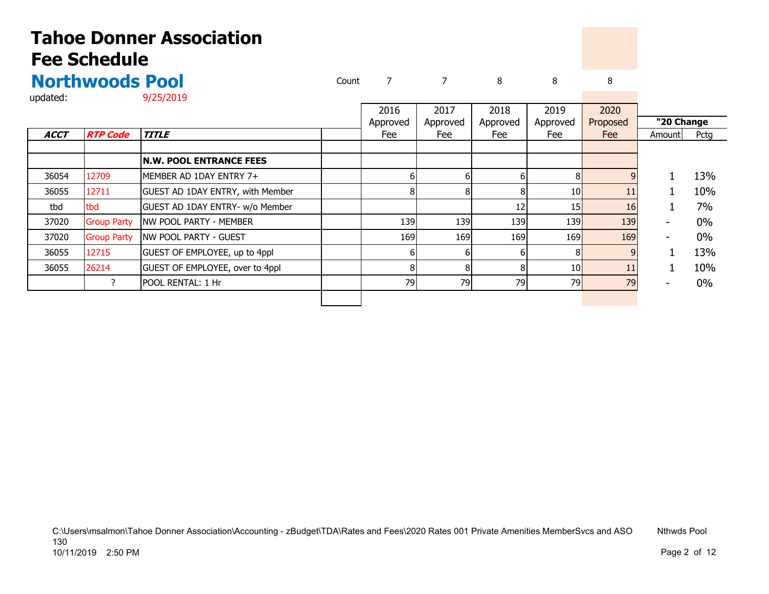|          | <b>Northwoods Pool</b> | Count |      |      |      |      |              |
|----------|------------------------|-------|------|------|------|------|--------------|
| updated: | 9/25/2019              |       |      |      |      |      |              |
|          |                        |       | 2016 | 2017 | 2018 | 2019 | $20^{\circ}$ |

|             |                    |                                  | 2016     | 2017     | 2018     | 2019     | 2020     |            |       |
|-------------|--------------------|----------------------------------|----------|----------|----------|----------|----------|------------|-------|
|             |                    |                                  | Approved | Approved | Approved | Approved | Proposed | "20 Change |       |
| <b>ACCT</b> | <b>RTP Code</b>    | <b>TITLE</b>                     | Fee      | Fee      | Fee      | Fee      | Fee      | Amount     | Pctg  |
|             |                    |                                  |          |          |          |          |          |            |       |
|             |                    | <b>N.W. POOL ENTRANCE FEES</b>   |          |          |          |          |          |            |       |
| 36054       | 12709              | MEMBER AD 1DAY ENTRY 7+          |          |          |          |          | a        |            | 13%   |
| 36055       | 12711              | GUEST AD 1DAY ENTRY, with Member | 8        |          |          | 10       | 11       |            | 10%   |
| tbd         | tbd                | GUEST AD 1DAY ENTRY- w/o Member  |          |          | 12       | 15       | 16       |            | 7%    |
| 37020       | <b>Group Party</b> | NW POOL PARTY - MEMBER           | 139      | 139      | 139      | 139      | 139      |            | $0\%$ |
| 37020       | <b>Group Party</b> | <b>INW POOL PARTY - GUEST</b>    | 169      | 169      | 169      | 169      | 169      |            | $0\%$ |
| 36055       | 12715              | GUEST OF EMPLOYEE, up to 4ppl    | 6        |          |          |          |          |            | 13%   |
| 36055       | 26214              | GUEST OF EMPLOYEE, over to 4ppl  | 8        |          |          | 10       | 11       |            | 10%   |
|             |                    | POOL RENTAL: 1 Hr                | 79       | 79       | 79       | 79       | 79       |            | $0\%$ |
|             |                    |                                  |          |          |          |          |          |            |       |

C:\Users\msalmon\Tahoe Donner Association\Accounting - zBudget\TDA\Rates and Fees\2020 Rates 001 Private Amenities MemberSvcs and ASO Nthwds Pool 130 10/11/2019 2:50 PMMagnetic contract of the contract of the contract of the contract of the contract of the contract of the contract of the contract of the contract of the contract of the contract of the contract of the contract of the contr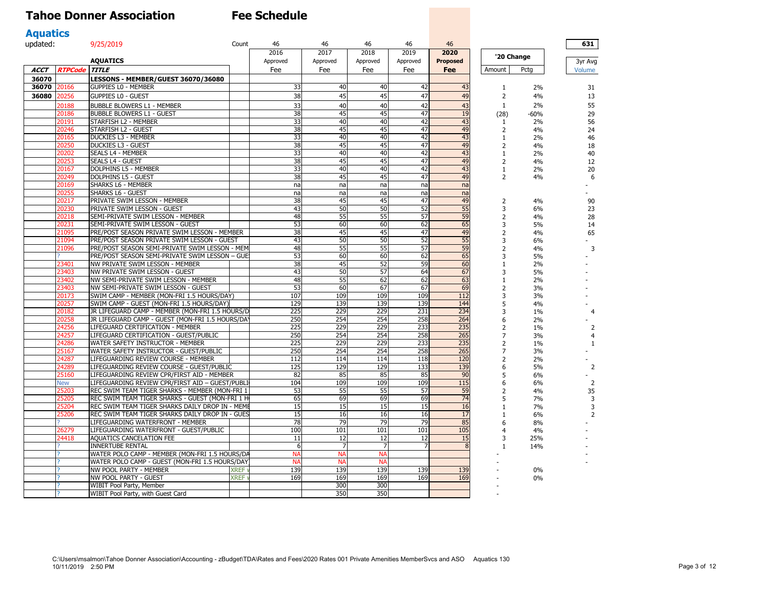| <b>Aquatics</b> |                |                                                                                                   |             |           |                |           |           |                 |                                |          |                |
|-----------------|----------------|---------------------------------------------------------------------------------------------------|-------------|-----------|----------------|-----------|-----------|-----------------|--------------------------------|----------|----------------|
| updated:        |                | 9/25/2019                                                                                         | Count       | 46        | 46             | 46        | 46        | 46              |                                |          | 631            |
|                 |                |                                                                                                   |             | 2016      | 2017           | 2018      | 2019      | 2020            | '20 Change                     |          |                |
|                 |                | <b>AQUATICS</b>                                                                                   |             | Approved  | Approved       | Approved  | Approved  | <b>Proposed</b> |                                |          | 3yr Avg        |
| <b>ACCT</b>     | <b>RTPCode</b> | <b>TITLE</b>                                                                                      |             | Fee       | Fee            | Fee       | Fee       | Fee             | Amount                         | Pcta     | Volume         |
| 36070           |                | LESSONS - MEMBER/GUEST 36070/36080                                                                |             |           |                |           |           |                 |                                |          |                |
| 36070           | 20166          | <b>GUPPIES LO - MEMBER</b>                                                                        |             | 33        | 40             | 40        | 42        | 43              | 1                              | 2%       | 31             |
| 36080           | 20256          | <b>GUPPIES LO - GUEST</b>                                                                         |             | 38        | 45             | 45        | 47        | 49              | $\overline{2}$                 | 4%       | 13             |
|                 | 20188          | <b>BUBBLE BLOWERS L1 - MEMBER</b>                                                                 |             | 33        | 40             | 40        | 42        | 43              | 1                              | 2%       | 55             |
|                 | 20186          | <b>BUBBLE BLOWERS L1 - GUEST</b>                                                                  |             | 38        | 45             | 45        | 47        | 19              | (28)                           | -60%     | 29             |
|                 | 20191          | STARFISH L2 - MEMBER                                                                              |             | 33        | 40             | 40        | 42        | 43              | $\mathbf{1}$                   | 2%       | 56             |
|                 | 20246          | STARFISH L2 - GUEST                                                                               |             | 38        | 45             | 45        | 47        | 49              | 2                              | 4%       | 24             |
|                 | 20165          | <b>DUCKIES L3 - MEMBER</b>                                                                        |             | 33        | 40             | 40        | 42        | 43              | 1                              | 2%       | 46             |
|                 | 20250          | <b>DUCKIES L3 - GUEST</b>                                                                         |             | 38        | 45             | 45        | 47        | 49              | $\overline{2}$                 | 4%       | 18             |
|                 | 20202          | SEALS L4 - MEMBER                                                                                 |             | 33        | 40             | 40        | 42        | 43              | $\mathbf{1}$                   | 2%       | 40             |
|                 | 20253<br>20167 | <b>SEALS L4 - GUEST</b><br><b>DOLPHINS L5 - MEMBER</b>                                            |             | 38<br>33  | 45<br>40       | 45<br>40  | 47<br>42  | 49<br>43        | 2                              | 4%       | 12             |
|                 | 20249          | <b>DOLPHINS L5 - GUEST</b>                                                                        |             | 38        | 45             | 45        | 47        | 49              | $\mathbf{1}$<br>$\overline{2}$ | 2%<br>4% | 20<br>6        |
|                 | 20169          | SHARKS L6 - MEMBER                                                                                |             | na        | na             | na        | nal       | na              |                                |          |                |
|                 | 20255          | SHARKS L6 - GUEST                                                                                 |             | na        | na             | na        | na        | na              |                                |          |                |
|                 | 20217          | PRIVATE SWIM LESSON - MEMBER                                                                      |             | 38        | 45             | 45        | 47        | 49              | 2                              | 4%       | 90             |
|                 | 20230          | PRIVATE SWIM LESSON - GUEST                                                                       |             | 43        | 50             | 50        | 52        | 55              | 3                              | 6%       | 23             |
|                 | 20218          | SEMI-PRIVATE SWIM LESSON - MEMBER                                                                 |             | 48        | 55             | 55        | 57        | 59              | $\overline{2}$                 | 4%       | 28             |
|                 | 20231          | SEMI-PRIVATE SWIM LESSON - GUEST                                                                  |             | 53        | 60             | 60        | 62        | 65              | 3                              | 5%       | 14             |
|                 | 21095          | PRE/POST SEASON PRIVATE SWIM LESSON - MEMBER                                                      |             | 38        | 45             | 45        | 47        | 49              | $\overline{2}$                 | 4%       | 65             |
|                 | 21094          | PRE/POST SEASON PRIVATE SWIM LESSON - GUEST                                                       |             | 43        | 50             | 50        | 52        | 55              | 3                              | 6%       |                |
|                 | 21096          | PRE/POST SEASON SEMI-PRIVATE SWIM LESSON - MEM                                                    |             | 48        | 55             | 55        | 57        | 59              | $\overline{2}$                 | 4%       | 3              |
|                 |                | PRE/POST SEASON SEMI-PRIVATE SWIM LESSON - GUE                                                    |             | 53        | 60             | 60        | 62        | 65              | 3                              | 5%       |                |
|                 | 23401          | NW PRIVATE SWIM LESSON - MEMBER                                                                   |             | 38        | 45             | 52        | 59        | 60              | $1\,$                          | 2%       |                |
|                 | 23403          | NW PRIVATE SWIM LESSON - GUEST                                                                    |             | 43        | 50             | 57        | 64        | 67              | 3                              | 5%       |                |
|                 | 23402          | NW SEMI-PRIVATE SWIM LESSON - MEMBER                                                              |             | 48        | 55             | 62        | 62        | 63              | $\mathbf{1}$                   | 2%       |                |
|                 | 23403<br>20173 | NW SEMI-PRIVATE SWIM LESSON - GUEST<br>SWIM CAMP - MEMBER (MON-FRI 1.5 HOURS/DAY)                 |             | 53<br>107 | 60<br>109      | 67<br>109 | 67<br>109 | 69<br>112       | $\overline{2}$<br>3            | 3%<br>3% |                |
|                 | 20257          | SWIM CAMP - GUEST (MON-FRI 1.5 HOURS/DAY)                                                         |             | 129       | 139            | 139       | 139       | 144             | 5                              | 4%       |                |
|                 | 20182          | JR LIFEGUARD CAMP - MEMBER (MON-FRI 1.5 HOURS/D                                                   |             | 225       | 229            | 229       | 231       | 234             | 3                              | 1%       | $\overline{4}$ |
|                 | 20258          | JR LIFEGUARD CAMP - GUEST (MON-FRI 1.5 HOURS/DA                                                   |             | 250       | 254            | 254       | 258       | 264             | 6                              | 2%       |                |
|                 | 24256          | LIFEGUARD CERTIFICATION - MEMBER                                                                  |             | 225       | 229            | 229       | 233       | 235             | $\overline{2}$                 | 1%       | $\overline{2}$ |
|                 | 24257          | LIFEGUARD CERTIFICATION - GUEST/PUBLIC                                                            |             | 250       | 254            | 254       | 258       | 265             | $\overline{7}$                 | 3%       | $\overline{4}$ |
|                 | 24286          | WATER SAFETY INSTRUCTOR - MEMBER                                                                  |             | 225       | 229            | 229       | 233       | 235             | $\overline{2}$                 | 1%       | $\mathbf{1}$   |
|                 | 25167          | WATER SAFETY INSTRUCTOR - GUEST/PUBLIC                                                            |             | 250       | 254            | 254       | 258       | 265             | $\overline{7}$                 | 3%       |                |
|                 | 24287          | LIFEGUARDING REVIEW COURSE - MEMBER                                                               |             | 112       | 114            | 114       | 118       | 120             | $\overline{2}$                 | 2%       |                |
|                 | 24289          | LIFEGUARDING REVIEW COURSE - GUEST/PUBLIC                                                         |             | 125       | 129            | 129       | 133       | 139             | 6                              | 5%       | $\overline{2}$ |
|                 | 25160          | LIFEGUARDING REVIEW CPR/FIRST AID - MEMBER                                                        |             | 82        | 85             | 85        | 85        | 90              | 5                              | 6%       |                |
|                 | <b>New</b>     | LIFEGUARDING REVIEW CPR/FIRST AID - GUEST/PUBLI                                                   |             | 104       | 109            | 109       | 109       | 115             | 6                              | 6%       | $\overline{2}$ |
|                 | 25203<br>25205 | REC SWIM TEAM TIGER SHARKS - MEMBER (MON-FRI 1<br>REC SWIM TEAM TIGER SHARKS - GUEST (MON-FRI 1 H |             | 53<br>65  | 55<br>69       | 55<br>69  | 57<br>69  | 59<br>74        | 2<br>5                         | 4%<br>7% | 35<br>3        |
|                 | 25204          | REC SWIM TEAM TIGER SHARKS DAILY DROP IN - MEME                                                   |             | 15        | 15             | 15        | 15        | 16              | $\mathbf{1}$                   | 7%       | 3              |
|                 | 25206          | REC SWIM TEAM TIGER SHARKS DAILY DROP IN - GUES                                                   |             | 15        | 16             | 16        | 16        | 17              | 1                              | 6%       | $\overline{2}$ |
|                 |                | LIFEGUARDING WATERFRONT - MEMBER                                                                  |             | 78        | 79             | 79        | 79        | 85              | 6                              | 8%       |                |
|                 | 26279          | LIFEGUARDING WATERFRONT - GUEST/PUBLIC                                                            |             | 100       | 101            | 101       | 101       | 105             | $\overline{4}$                 | 4%       |                |
|                 | 24418          | <b>AQUATICS CANCELATION FEE</b>                                                                   |             | 11        | 12             | 12        | 12        | 15              | 3                              | 25%      |                |
|                 |                | <b>INNERTUBE RENTAL</b>                                                                           |             | 6         |                |           | 7         | $\mathsf{R}$    | 1                              | 14%      |                |
|                 |                | WATER POLO CAMP - MEMBER (MON-FRI 1.5 HOURS/DA                                                    |             | <b>NA</b> | <b>NA</b>      | <b>NA</b> |           |                 |                                |          |                |
|                 |                | WATER POLO CAMP - GUEST (MON-FRI 1.5 HOURS/DAY                                                    |             | <b>NA</b> | N <sub>A</sub> | N         |           |                 |                                |          |                |
|                 |                | NW POOL PARTY - MEMBER                                                                            | <b>XREF</b> | 139       | 139            | 139       | 139       | 139             |                                | $0\%$    |                |
|                 |                | NW POOL PARTY - GUEST                                                                             | <b>XREF</b> | 169       | 169            | 169       | 169       | 169             |                                | 0%       |                |
|                 |                | WIBIT Pool Party, Member                                                                          |             |           | 300            | 300       |           |                 |                                |          |                |
|                 |                | WIBIT Pool Party, with Guest Card                                                                 |             |           | 350            | 350       |           |                 |                                |          |                |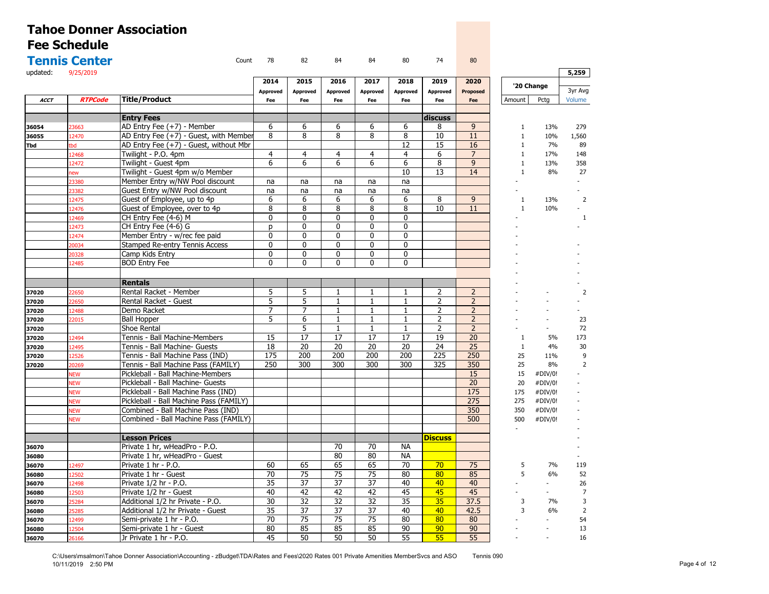|                | <b>Tennis Center</b> | Count                                                                    | 78                  | 82                           | 84                | 84                | 80                           | 74                  | 80                  |              |                    |                |
|----------------|----------------------|--------------------------------------------------------------------------|---------------------|------------------------------|-------------------|-------------------|------------------------------|---------------------|---------------------|--------------|--------------------|----------------|
| updated:       | 9/25/2019            |                                                                          |                     |                              |                   |                   |                              |                     |                     |              |                    | 5,259          |
|                |                      |                                                                          | 2014                | 2015                         | 2016              | 2017              | 2018                         | 2019                | 2020                |              | '20 Change         |                |
|                |                      |                                                                          | Approved            | <b>Approved</b>              | Approved          | <b>Approved</b>   | <b>Approved</b>              | Approved            | <b>Proposed</b>     |              |                    | 3yr Avg        |
| <b>ACCT</b>    | <b>RTPCode</b>       | <b>Title/Product</b>                                                     | Fee                 | Fee                          | Fee               | Fee               | Fee                          | Fee                 | Fee                 | Amount       | Pctg               | Volume         |
|                |                      |                                                                          |                     |                              |                   |                   |                              |                     |                     |              |                    |                |
|                |                      | <b>Entry Fees</b>                                                        |                     |                              |                   |                   |                              | discuss             |                     |              |                    |                |
| 36054          | 3663                 | AD Entry Fee (+7) - Member                                               | 6                   | 6                            | 6                 | 6                 | 6                            | 8                   | 9                   | $\mathbf{1}$ | 13%                | 279            |
| 36055          | 2470                 | AD Entry Fee (+7) - Guest, with Member                                   | 8                   | 8                            | 8                 | 8                 | 8                            | 10                  | 11                  | $\mathbf{1}$ | 10%                | 1,560          |
| Tbd            | bd                   | AD Entry Fee (+7) - Guest, without Mbr                                   |                     |                              |                   |                   | 12                           | 15                  | 16                  | $\mathbf{1}$ | 7%                 | 89             |
|                | 12468                | Twilight - P.O. 4pm                                                      | $\overline{4}$<br>6 | 4                            | $\overline{4}$    | $\overline{4}$    | $\overline{4}$               | 6<br>8              | $\overline{7}$<br>9 | $\mathbf{1}$ | 17%                | 148            |
|                | 12472                | Twilight - Guest 4pm                                                     |                     | 6                            | 6                 | 6                 | 6<br>10                      | 13                  | 14                  | $\mathbf{1}$ | 13%                | 358            |
|                | ew                   | Twilight - Guest 4pm w/o Member                                          |                     |                              |                   |                   |                              |                     |                     | $\mathbf{1}$ | 8%                 | 27             |
|                | 3380                 | Member Entry w/NW Pool discount                                          | na                  | na                           | na                | na                | na                           |                     |                     |              |                    |                |
|                | 3382                 | Guest Entry w/NW Pool discount                                           | na                  | na                           | na                | na                | na                           |                     |                     |              |                    |                |
|                | 12475                | Guest of Employee, up to 4p                                              | 6                   | 6                            | 6                 | 6                 | 6                            | 8                   | 9                   | 1            | 13%                | $\overline{2}$ |
|                | 12476                | Guest of Employee, over to 4p                                            | 8                   | 8                            | 8                 | 8                 | 8                            | 10                  | 11                  | $\mathbf{1}$ | 10%                |                |
|                | 12469                | CH Entry Fee (4-6) M                                                     | $\mathbf{0}$        | $\Omega$                     | $\Omega$          | 0                 | $\Omega$                     |                     |                     |              |                    |                |
|                | 12473                | CH Entry Fee (4-6) G                                                     | <b>D</b>            | $\mathbf{0}$                 | $\mathbf{0}$      | $\mathbf{0}$      | $\mathbf{0}$                 |                     |                     |              |                    |                |
|                | 12474                | Member Entry - w/rec fee paid                                            | 0                   | $\mathbf{0}$                 | 0                 | $\mathbf{0}$      | $\mathbf 0$                  |                     |                     |              |                    |                |
|                | 20034                | Stamped Re-entry Tennis Access                                           | $\mathbf{0}$<br>0   | $\mathbf{0}$<br>$\mathbf{0}$ | $\mathbf{0}$      | $\mathbf{0}$<br>0 | $\mathbf{0}$<br>$\mathbf{0}$ |                     |                     |              |                    |                |
|                | 20328                | Camp Kids Entry                                                          |                     |                              | 0                 |                   |                              |                     |                     |              |                    |                |
|                | 12485                | <b>BOD</b> Entry Fee                                                     | $\mathbf{0}$        | $\mathbf{0}$                 | 0                 | 0                 | $\mathbf{0}$                 |                     |                     |              |                    |                |
|                |                      |                                                                          |                     |                              |                   |                   |                              |                     |                     |              |                    |                |
|                |                      | <b>Rentals</b><br>Rental Racket - Member                                 | 5                   |                              | 1                 | $\mathbf{1}$      | $\mathbf{1}$                 |                     | $\overline{2}$      |              |                    |                |
| 37020          | 2650                 |                                                                          | $\overline{5}$      | 5<br>$\overline{5}$          |                   |                   |                              | 2<br>$\overline{2}$ | $\overline{2}$      |              |                    |                |
| 37020          | 2650                 | Rental Racket - Guest<br>Demo Racket                                     | 7                   | 7                            | $\mathbf{1}$<br>1 | $\mathbf{1}$<br>1 | $\mathbf{1}$                 | 2                   | $\overline{2}$      |              |                    |                |
| 37020          | 12488                | <b>Ball Hopper</b>                                                       | $\overline{5}$      | 6                            | 1                 | $\mathbf{1}$      | 1<br>$\mathbf{1}$            | $\overline{2}$      | $\overline{2}$      |              |                    | 23             |
| 37020          | 22015                | Shoe Rental                                                              |                     | 5                            | $\mathbf{1}$      | $\mathbf{1}$      | $\mathbf{1}$                 | $\overline{2}$      | $\overline{2}$      |              |                    | 72             |
| 37020<br>37020 | 12494                | Tennis - Ball Machine-Members                                            | 15                  | 17                           | 17                | 17                | 17                           | 19                  | 20                  | $\mathbf{1}$ | 5%                 | 173            |
|                | 12495                | Tennis - Ball Machine- Guests                                            | $\overline{18}$     | $\overline{20}$              | $\overline{20}$   | $\overline{20}$   | $\overline{20}$              | $\overline{24}$     | $\overline{25}$     | $\mathbf{1}$ | 4%                 | 30             |
| 37020<br>37020 | 12526                | Tennis - Ball Machine Pass (IND)                                         | 175                 | 200                          | 200               | 200               | 200                          | 225                 | 250                 | 25           | 11%                | 9              |
|                |                      |                                                                          | 250                 | 300                          | 300               | 300               | 300                          | 325                 | 350                 |              |                    |                |
| 37020          | 20269                | Tennis - Ball Machine Pass (FAMILY)<br>Pickleball - Ball Machine-Members |                     |                              |                   |                   |                              |                     | 15                  | 25<br>15     | 8%                 | $\overline{2}$ |
|                | <b>VEW</b>           |                                                                          |                     |                              |                   |                   |                              |                     | $\overline{20}$     |              | #DIV/0!            |                |
|                | <b>NEW</b>           | Pickleball - Ball Machine- Guests                                        |                     |                              |                   |                   |                              |                     | 175                 | 20           | #DIV/0!            |                |
|                | VEW                  | Pickleball - Ball Machine Pass (IND)                                     |                     |                              |                   |                   |                              |                     | 275                 | 175<br>275   | #DIV/0!            |                |
|                | <b>NEW</b>           | Pickleball - Ball Machine Pass (FAMILY)                                  |                     |                              |                   |                   |                              |                     | 350                 | 350          | #DIV/0!<br>#DIV/0! |                |
|                | VEW                  | Combined - Ball Machine Pass (IND)                                       |                     |                              |                   |                   |                              |                     |                     |              |                    |                |
|                | <b>JEW</b>           | Combined - Ball Machine Pass (FAMILY)                                    |                     |                              |                   |                   |                              |                     | 500                 | 500          | #DIV/0!            |                |
|                |                      | <b>Lesson Prices</b>                                                     |                     |                              |                   |                   |                              | <b>Discuss</b>      |                     |              |                    |                |
| 36070          |                      | Private 1 hr, wHeadPro - P.O.                                            |                     |                              | 70                | 70                | <b>NA</b>                    |                     |                     |              |                    |                |
| 36080          |                      | Private 1 hr, wHeadPro - Guest                                           |                     |                              | 80                | 80                | <b>NA</b>                    |                     |                     |              |                    |                |
| 36070          | 12497                | Private 1 hr - P.O.                                                      | 60                  | 65                           | 65                | 65                | 70                           | 70                  | 75                  | 5            | 7%                 | 119            |
| 36080          | 12502                | Private 1 hr - Guest                                                     | 70                  | 75                           | 75                | 75                | 80                           | 80                  | 85                  | 5            | 6%                 | 52             |
| 36070          | 12498                | Private 1/2 hr - P.O.                                                    | 35                  | 37                           | 37                | 37                | 40                           | 40                  | 40                  |              |                    | 26             |
| 36080          | 12503                | Private 1/2 hr - Guest                                                   | 40                  | 42                           | 42                | 42                | 45                           | 45                  | 45                  |              |                    | $\overline{7}$ |
| 36070          | !5284                | Additional 1/2 hr Private - P.O.                                         | 30                  | 32                           | $\overline{32}$   | $\overline{32}$   | $\overline{35}$              | 35                  | 37.5                | 3            | 7%                 | 3              |
| 36080          | 25285                | Additional 1/2 hr Private - Guest                                        | 35                  | 37                           | 37                | 37                | 40                           | 40                  | 42.5                | 3            | 6%                 | $\overline{2}$ |
| 36070          | 12499                | Semi-private 1 hr - P.O.                                                 | 70                  | $\overline{75}$              | 75                | $\overline{75}$   | 80                           | 80                  | 80                  |              |                    | 54             |
| 36080          | 12504                | Semi-private 1 hr - Guest                                                | 80                  | 85                           | 85                | 85                | 90                           | 90                  | 90                  |              |                    | 13             |
| 36070          | 26166                | Jr Private 1 hr - P.O.                                                   | 45                  | 50                           | 50                | 50                | 55                           | 55                  | 55                  |              |                    | 16             |
|                |                      |                                                                          |                     |                              |                   |                   |                              |                     |                     |              |                    |                |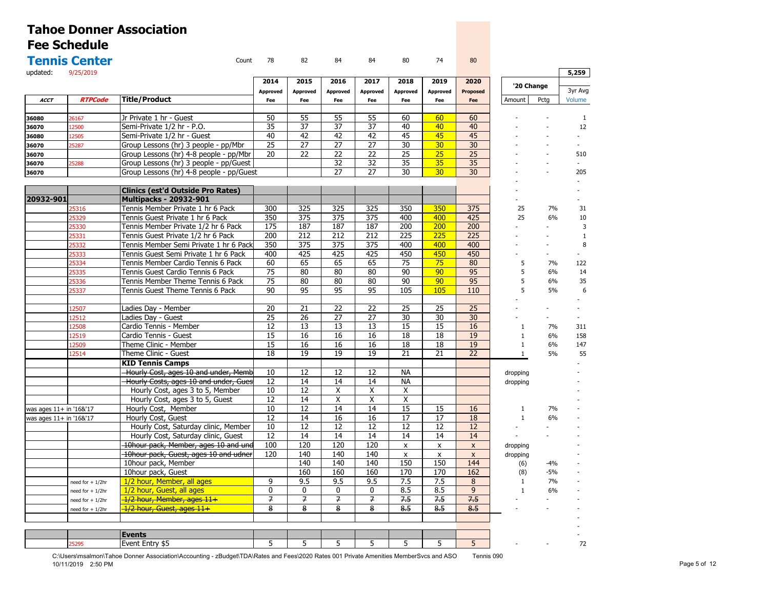|                         | <b>Tennis Center</b>    | Count                                    | 78              | 82               | 84               | 84               | 80                 | 74                 | 80              |              |                |              |
|-------------------------|-------------------------|------------------------------------------|-----------------|------------------|------------------|------------------|--------------------|--------------------|-----------------|--------------|----------------|--------------|
| updated:                | 9/25/2019               |                                          |                 |                  |                  |                  |                    |                    |                 |              |                | 5,259        |
|                         |                         |                                          | 2014            | 2015             | 2016             | 2017             | 2018               | 2019               | 2020            | '20 Change   |                |              |
|                         |                         |                                          | <b>Approved</b> | Approved         | <b>Approved</b>  | <b>Approved</b>  | Approved           | Approved           | Proposed        |              |                | 3yr Avg      |
| <b>ACCT</b>             | <b>RTPCode</b>          | <b>Title/Product</b>                     | Fee             | Fee              | Fee              | Fee              | Fee                | Fee                | Fee             | Amount       | Pcta           | Volume       |
|                         |                         |                                          |                 |                  |                  |                  |                    |                    |                 |              |                |              |
| 36080                   | 26167                   | Jr Private 1 hr - Guest                  | 50              | 55               | 55               | 55               | 60                 | 60                 | 60              |              |                | $\mathbf{1}$ |
| 36070                   | 12500                   | Semi-Private 1/2 hr - P.O.               | 35              | 37               | 37               | 37               | 40                 | 40                 | 40              |              |                | 12           |
| 36080                   | 12505                   | Semi-Private 1/2 hr - Guest              | 40              | 42               | 42               | 42               | 45                 | 45                 | 45              |              |                |              |
| 36070                   | 25287                   | Group Lessons (hr) 3 people - pp/Mbr     | 25              | 27               | 27               | 27               | 30                 | 30 <sub>2</sub>    | 30              |              |                |              |
| 36070                   |                         | Group Lessons (hr) 4-8 people - pp/Mbr   | 20              | 22               | $\overline{22}$  | 22               | $\overline{25}$    | 25                 | $\overline{25}$ |              |                | 510          |
| 36070                   | !5288                   | Group Lessons (hr) 3 people - pp/Guest   |                 |                  | $\overline{32}$  | 32               | $\overline{35}$    | 35                 | 35              |              | ÷,             |              |
| 36070                   |                         | Group Lessons (hr) 4-8 people - pp/Guest |                 |                  | $\overline{27}$  | $\overline{27}$  | $\overline{30}$    | 30                 | 30              |              |                | 205          |
|                         |                         | <b>Clinics (est'd Outside Pro Rates)</b> |                 |                  |                  |                  |                    |                    |                 |              |                |              |
| 20932-901               |                         | <b>Multipacks - 20932-901</b>            |                 |                  |                  |                  |                    |                    |                 |              |                |              |
|                         | 25316                   | Tennis Member Private 1 hr 6 Pack        | 300             | 325              | 325              | 325              | 350                | 350                | 375             | 25           | 7%             | 31           |
|                         | 25329                   | Tennis Guest Private 1 hr 6 Pack         | 350             | $\overline{375}$ | $\overline{375}$ | $\overline{375}$ | 400                | 400                | 425             | 25           | 6%             | 10           |
|                         | 25330                   | Tennis Member Private 1/2 hr 6 Pack      | 175             | 187              | 187              | 187              | 200                | 200                | 200             |              |                | 3            |
|                         | 25331                   | Tennis Guest Private 1/2 hr 6 Pack       | 200             | $\overline{212}$ | $\overline{212}$ | 212              | 225                | 225                | 225             |              |                | 1            |
|                         | 25332                   | Tennis Member Semi Private 1 hr 6 Pack   | 350             | 375              | 375              | 375              | 400                | 400                | 400             |              | ٠              | 8            |
|                         | 25333                   | Tennis Guest Semi Private 1 hr 6 Pack    | 400             | 425              | 425              | 425              | 450                | 450                | 450             |              |                |              |
|                         | 25334                   | Tennis Member Cardio Tennis 6 Pack       | 60              | 65               | 65               | 65               | 75                 | 75                 | 80              | 5            | 7%             | 122          |
|                         | 25335                   | Tennis Guest Cardio Tennis 6 Pack        | 75              | 80               | 80               | 80               | 90                 | 90                 | 95              | 5            | 6%             | 14           |
|                         | 25336                   | Tennis Member Theme Tennis 6 Pack        | 75              | 80               | 80               | 80               | 90                 | 90                 | 95              | 5            | 6%             | 35           |
|                         | 25337                   | Tennis Guest Theme Tennis 6 Pack         | $\overline{90}$ | 95               | $\overline{95}$  | 95               | 105                | 105                | 110             | 5            | 5%             | 6            |
|                         |                         |                                          |                 |                  |                  |                  |                    |                    |                 |              |                |              |
|                         | 12507                   | Ladies Day - Member                      | 20              | 21               | 22               | 22               | 25                 | 25                 | 25              |              |                |              |
|                         | 12512                   | Ladies Day - Guest                       | 25              | 26               | 27               | 27               | 30                 | 30                 | 30              |              | $\overline{a}$ |              |
|                         | 12508                   | Cardio Tennis - Member                   | 12              | 13               | 13               | 13               | 15                 | 15                 | 16              | $\mathbf{1}$ | 7%             | 311          |
|                         | 12519                   | Cardio Tennis - Guest                    | 15              | 16               | 16               | 16               | 18                 | 18                 | 19              | $\mathbf{1}$ | 6%             | 158          |
|                         | 12509                   | Theme Clinic - Member                    | 15              | 16               | 16               | 16               | 18                 | 18                 | 19              | $\mathbf{1}$ | 6%             | 147          |
|                         | 12514                   | Theme Clinic - Guest                     | 18              | 19               | 19               | 19               | 21                 | 21                 | 22              | $\mathbf{1}$ | 5%             | 55           |
|                         |                         | <b>KID Tennis Camps</b>                  |                 |                  |                  |                  |                    |                    |                 |              |                |              |
|                         |                         | Hourly Cost, ages 10 and under, Memb     | 10              | 12               | 12               | 12               | <b>NA</b>          |                    |                 | dropping     |                |              |
|                         |                         | Hourly Costs, ages 10 and under, Gues    | 12              | 14               | 14               | 14               | <b>NA</b>          |                    |                 | dropping     |                |              |
|                         |                         | Hourly Cost, ages 3 to 5, Member         | 10              | 12               | X                | X                | X                  |                    |                 |              |                |              |
|                         |                         | Hourly Cost, ages 3 to 5, Guest          | 12              | 14               | X                | X                | Χ                  |                    |                 |              |                |              |
|                         | was ages 11+ in '16&'17 | Hourly Cost, Member                      | 10              | 12               | 14               | 14               | $\overline{15}$    | 15                 | 16              | $\mathbf{1}$ | 7%             |              |
| was ages 11+ in '16&'17 |                         | Hourly Cost, Guest                       | 12              | 14               | 16               | 16               | 17                 | 17                 | 18              | $\mathbf{1}$ | 6%             |              |
|                         |                         | Hourly Cost, Saturday clinic, Member     | 10              | 12               | 12               | 12               | 12                 | 12                 | 12              |              |                |              |
|                         |                         | Hourly Cost, Saturday clinic, Guest      | 12              | 14               | 14               | 14               | 14                 | 14                 | 14              |              |                |              |
|                         |                         | 10hour pack, Member, ages 10 and und     | 100             | 120              | 120              | 120              | $\pmb{\mathsf{x}}$ | $\pmb{\mathsf{x}}$ | $\pmb{\chi}$    | dropping     |                |              |
|                         |                         | 10hour pack, Guest, ages 10 and udner    | 120             | 140              | 140              | 140              | $\pmb{\times}$     | $\pmb{\mathsf{x}}$ | $\pmb{\chi}$    | dropping     |                |              |
|                         |                         | 10hour pack, Member                      |                 | 140              | 140              | 140              | 150                | 150                | 144             | (6)          | $-4%$          |              |
|                         |                         | 10hour pack, Guest                       |                 | 160              | 160              | 160              | 170                | 170                | 162             | (8)          | $-5%$          |              |
|                         | need for $+1/2$ hr      | 1/2 hour, Member, all ages               | 9               | 9.5              | 9.5              | 9.5              | 7.5                | 7.5                | 8               | $\mathbf{1}$ | 7%             |              |
|                         | need for $+1/2$ hr      | 1/2 hour, Guest, all ages                | $\mathbf{0}$    | $\mathbf{0}$     | $\mathbf 0$      | $\mathbf 0$      | 8.5                | 8.5                | $\overline{9}$  | $\mathbf{1}$ | 6%             |              |
|                         | need for $+1/2$ hr      | 1/2 hour, Member, ages 11+               | 7               | $\overline{7}$   | $\overline{f}$   | $\overline{f}$   | 7.5                | 7.5                | 7.5             |              |                |              |
|                         | need for $+1/2$ hr      | 1/2 hour, Guest, ages 11+                | 8               | 8                | 8                | 8                | 8.5                | 8.5                | 8.5             |              |                |              |
|                         |                         |                                          |                 |                  |                  |                  |                    |                    |                 |              |                |              |
|                         |                         | <b>Events</b>                            |                 |                  |                  |                  |                    |                    |                 |              |                |              |
|                         | 25295                   | Event Entry \$5                          | 5               | 5                | 5                | 5                | 5                  | 5                  | 5               |              |                | 72           |
|                         |                         |                                          |                 |                  |                  |                  |                    |                    |                 |              |                |              |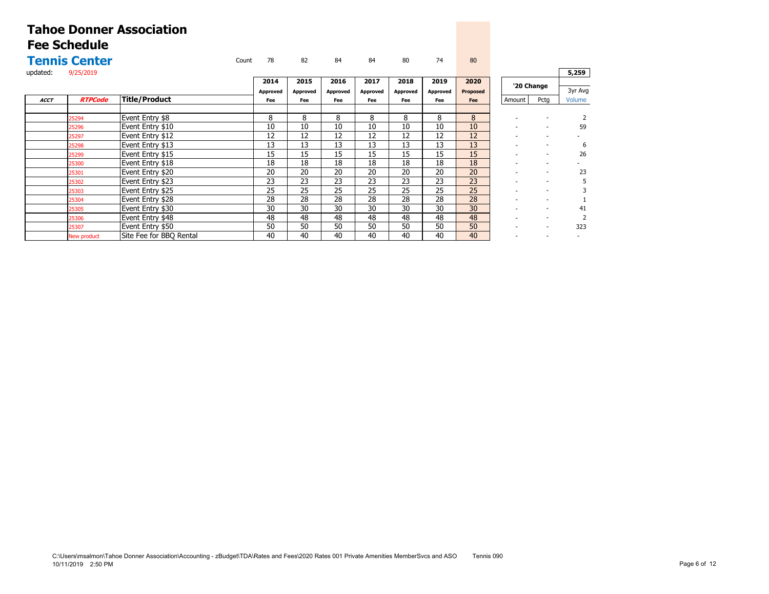|             | <b>Tennis Center</b> |                         | Count | 78       | 82       | 84              | 84       | 80       | 74              | 80              |                          |                          |         |
|-------------|----------------------|-------------------------|-------|----------|----------|-----------------|----------|----------|-----------------|-----------------|--------------------------|--------------------------|---------|
| updated:    | 9/25/2019            |                         |       |          |          |                 |          |          |                 |                 |                          |                          | 5,259   |
|             |                      |                         |       | 2014     | 2015     | 2016            | 2017     | 2018     | 2019            | 2020            | '20 Change               |                          |         |
|             |                      |                         |       | Approved | Approved | <b>Approved</b> | Approved | Approved | <b>Approved</b> | <b>Proposed</b> |                          |                          | 3yr Avg |
| <b>ACCT</b> | <b>RTPCode</b>       | Title/Product           |       | Fee      | Fee      | Fee             | Fee      | Fee      | Fee             | Fee             | Amount                   | Pctg                     | Volume  |
|             |                      |                         |       |          |          |                 |          |          |                 |                 |                          |                          |         |
|             | 25294                | Event Entry \$8         |       | 8        | 8        | 8               | 8        | 8        | 8               | 8               |                          |                          |         |
|             | 25296                | Event Entry \$10        |       | 10       | 10       | 10              | 10       | 10       | 10              | 10              |                          | $\overline{\phantom{0}}$ | 59      |
|             | 25297                | Event Entry \$12        |       | 12       | 12       | 12              | 12       | 12       | 12              | 12              | $\sim$                   | $\overline{\phantom{0}}$ |         |
|             | 25298                | Event Entry \$13        |       | 13       | 13       | 13              | 13       | 13       | 13              | 13              | $\overline{\phantom{a}}$ | $\overline{\phantom{a}}$ | 6       |
|             | 25299                | Event Entry \$15        |       | 15       | 15       | 15              | 15       | 15       | 15              | 15              |                          | $\overline{\phantom{a}}$ | 26      |
|             | 25300                | Event Entry \$18        |       | 18       | 18       | 18              | 18       | 18       | 18              | 18              |                          | $\overline{\phantom{a}}$ |         |
|             | 25301                | Event Entry \$20        |       | 20       | 20       | 20              | 20       | 20       | 20              | 20              |                          | ٠                        | 23      |
|             | 25302                | Event Entry \$23        |       | 23       | 23       | 23              | 23       | 23       | 23              | 23              |                          | $\overline{\phantom{0}}$ |         |
|             | 25303                | Event Entry \$25        |       | 25       | 25       | 25              | 25       | 25       | 25              | 25              |                          | $\overline{\phantom{a}}$ |         |
|             | 25304                | Event Entry \$28        |       | 28       | 28       | 28              | 28       | 28       | 28              | 28              |                          | $\overline{\phantom{a}}$ |         |
|             | 25305                | Event Entry \$30        |       | 30       | 30       | 30              | 30       | 30       | 30              | 30              |                          | $\overline{\phantom{0}}$ | 41      |
|             | 25306                | Event Entry \$48        |       | 48       | 48       | 48              | 48       | 48       | 48              | 48              |                          | $\overline{\phantom{a}}$ |         |
|             | 25307                | Event Entry \$50        |       | 50       | 50       | 50              | 50       | 50       | 50              | 50              |                          | $\overline{\phantom{0}}$ | 323     |
|             | New product          | Site Fee for BBO Rental |       | 40       | 40       | 40              | 40       | 40       | 40              | 40              | $\sim$                   | $\overline{\phantom{0}}$ |         |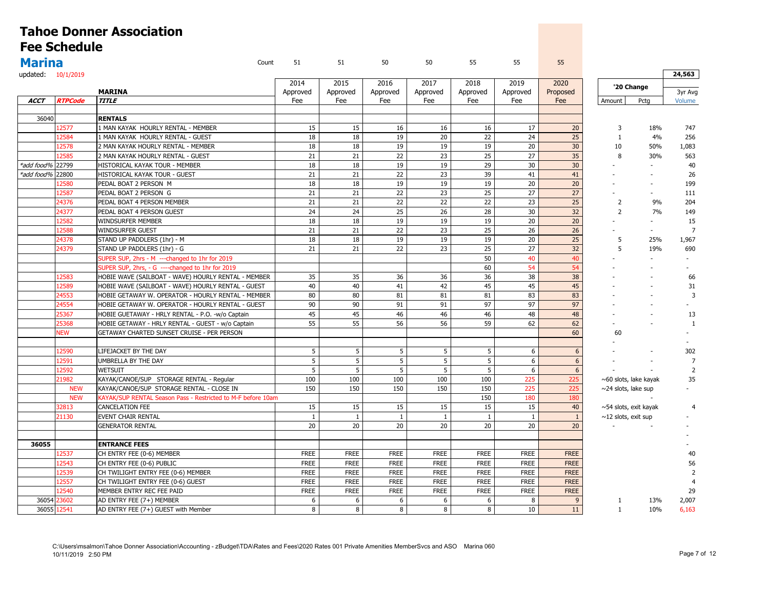|                    |                     | <b>Tahoe Donner Association</b>                              |                 |                 |                 |                 |                 |                 |                 |                             |                |                   |
|--------------------|---------------------|--------------------------------------------------------------|-----------------|-----------------|-----------------|-----------------|-----------------|-----------------|-----------------|-----------------------------|----------------|-------------------|
|                    | <b>Fee Schedule</b> |                                                              |                 |                 |                 |                 |                 |                 |                 |                             |                |                   |
| <b>Marina</b>      |                     | Count                                                        | 51              | 51              | 50              | 50              | 55              | 55              | 55              |                             |                |                   |
| updated: 10/1/2019 |                     |                                                              |                 |                 |                 |                 |                 |                 |                 |                             |                | 24,563            |
|                    |                     | <b>MARINA</b>                                                | 2014            | 2015            | 2016            | 2017            | 2018            | 2019            | 2020            | '20 Change                  |                |                   |
| <b>ACCT</b>        | <b>RTPCode</b>      | <b>TITLE</b>                                                 | Approved<br>Fee | Approved<br>Fee | Approved<br>Fee | Approved<br>Fee | Approved<br>Fee | Approved<br>Fee | Proposed<br>Fee | Amount                      | Pctg           | 3yr Avg<br>Volume |
|                    |                     |                                                              |                 |                 |                 |                 |                 |                 |                 |                             |                |                   |
| 36040              |                     | <b>RENTALS</b>                                               |                 |                 |                 |                 |                 |                 |                 |                             |                |                   |
|                    | 12577               | 1 MAN KAYAK HOURLY RENTAL - MEMBER                           | 15              | 15              | 16              | 16              | 16              | 17              | 20              | $\overline{3}$              | 18%            | 747               |
|                    | 12584               | 1 MAN KAYAK HOURLY RENTAL - GUEST                            | 18              | 18              | 19              | 20              | 22              | 24              | 25              | $\mathbf{1}$                | 4%             | 256               |
|                    | 12578               | 2 MAN KAYAK HOURLY RENTAL - MEMBER                           | 18              | 18              | 19              | 19              | 19              | 20              | 30              | 10                          | 50%            | 1,083             |
|                    | 12585               | 2 MAN KAYAK HOURLY RENTAL - GUEST                            | 21              | 21              | 22              | 23              | 25              | 27              | 35              | 8                           | 30%            | 563               |
| *add food%         | 22799               | HISTORICAL KAYAK TOUR - MEMBER                               | 18              | 18              | 19              | 19              | 29              | 30              | 30              |                             | $\sim$         | 40                |
| *add food% 22800   |                     | HISTORICAL KAYAK TOUR - GUEST                                | 21              | 21              | 22              | 23              | 39              | 41              | 41              |                             | $\sim$         | 26                |
|                    | 12580               | PEDAL BOAT 2 PERSON M                                        | 18              | 18              | 19              | 19              | 19              | 20              | 20              |                             | $\sim$         | 199               |
|                    | 12587               | PEDAL BOAT 2 PERSON G                                        | 21              | 21              | 22              | 23              | 25              | 27              | 27              |                             | $\sim$         | 111               |
|                    | 24376               | PEDAL BOAT 4 PERSON MEMBER                                   | 21              | 21              | 22              | 22              | 22              | 23              | 25              | $\overline{2}$              | 9%             | 204               |
|                    | 24377               | PEDAL BOAT 4 PERSON GUEST                                    | 24              | 24              | 25              | 26              | 28              | 30              | 32              | $\overline{2}$              | 7%             | 149               |
|                    | 12582               | WINDSURFER MEMBER                                            | 18              | 18              | 19              | 19              | 19              | 20              | 20              |                             | $\sim$         | 15                |
|                    | 12588               | <b>WINDSURFER GUEST</b>                                      | 21              | 21              | 22              | 23              | 25              | 26              | 26              |                             | $\sim$         | $\overline{7}$    |
|                    | 24378               | STAND UP PADDLERS (1hr) - M                                  | 18              | 18              | 19              | 19              | 19              | 20              | 25              | 5                           | 25%            | 1,967             |
|                    | 24379               | STAND UP PADDLERS (1hr) - G                                  | 21              | 21              | 22              | 23              | 25              | 27              | 32              | 5                           | 19%            | 690               |
|                    |                     | SUPER SUP, 2hrs - M ---changed to 1hr for 2019               |                 |                 |                 |                 | 50              | 40              | 40              |                             |                |                   |
|                    |                     | SUPER SUP, 2hrs, - G ----changed to 1hr for 2019             |                 |                 |                 |                 | 60              | 54              | 54              |                             | $\overline{a}$ |                   |
|                    | 12583               | HOBIE WAVE (SAILBOAT - WAVE) HOURLY RENTAL - MEMBER          | 35              | 35              | 36              | 36              | 36              | 38              | 38              |                             |                | 66                |
|                    | 12589               | HOBIE WAVE (SAILBOAT - WAVE) HOURLY RENTAL - GUEST           | 40              | 40              | 41              | 42              | 45              | 45              | 45              |                             |                | 31                |
|                    | 24553               | HOBIE GETAWAY W. OPERATOR - HOURLY RENTAL - MEMBER           | 80              | 80              | 81              | 81              | 81              | 83              | 83              |                             |                | $\overline{3}$    |
|                    | 24554               | HOBIE GETAWAY W. OPERATOR - HOURLY RENTAL - GUEST            | 90              | 90              | 91              | 91              | 97              | 97              | 97              |                             |                |                   |
|                    | 25367               | HOBIE GUETAWAY - HRLY RENTAL - P.O. -w/o Captain             | 45              | 45              | 46              | 46              | 46              | 48              | 48              |                             |                | 13                |
|                    | 25368               | HOBIE GETAWAY - HRLY RENTAL - GUEST - w/o Captain            | 55              | 55              | 56              | 56              | 59              | 62              | 62              |                             |                | $\mathbf{1}$      |
|                    | <b>NEW</b>          | GETAWAY CHARTED SUNSET CRUISE - PER PERSON                   |                 |                 |                 |                 |                 |                 | 60              |                             |                |                   |
|                    |                     |                                                              |                 |                 |                 |                 |                 |                 |                 | 60                          |                |                   |
|                    |                     |                                                              |                 |                 |                 |                 |                 |                 |                 |                             |                |                   |
|                    | 12590               | LIFEJACKET BY THE DAY                                        | 5               | 5               | 5               | 5               | 5               | 6               | 6               |                             |                | 302               |
|                    | 12591               | UMBRELLA BY THE DAY                                          | 5               | 5               | 5               | 5               | 5               | 6               | $6\,$           |                             |                | $\overline{7}$    |
|                    | 12592               | <b>WETSUIT</b>                                               | 5               | 5               | 5               | 5               | 5               | 6               | 6               | $\sim$                      |                | $\overline{2}$    |
|                    | 21982               | KAYAK/CANOE/SUP STORAGE RENTAL - Regular                     | 100             | 100             | 100             | 100             | 100             | 225             | 225             | $\sim$ 60 slots, lake kayak |                | 35                |
|                    | <b>NEW</b>          | KAYAK/CANOE/SUP STORAGE RENTAL - CLOSE IN                    | 150             | 150             | 150             | 150             | 150             | 225             | 225             | $\sim$ 24 slots, lake sup   |                |                   |
|                    | <b>NEW</b>          | KAYAK/SUP RENTAL Season Pass - Restricted to M-F before 10am |                 |                 |                 |                 | 150             | 180             | 180             |                             |                |                   |
|                    | 32813               | CANCELATION FEE                                              | 15              | 15              | 15              | 15              | 15              | 15              | 40              | $\sim$ 54 slots, exit kayak |                | $\overline{4}$    |
|                    | 21130               | EVENT CHAIR RENTAL                                           | $\mathbf{1}$    | $\mathbf{1}$    | $\mathbf{1}$    | $\mathbf{1}$    | $\mathbf{1}$    | $\mathbf{1}$    | $1\,$           | $\sim$ 12 slots, exit sup   |                |                   |
|                    |                     | <b>GENERATOR RENTAL</b>                                      | 20              | 20              | 20              | 20              | 20              | 20              | 20              |                             |                |                   |
|                    |                     |                                                              |                 |                 |                 |                 |                 |                 |                 |                             |                |                   |
| 36055              |                     | <b>ENTRANCE FEES</b>                                         |                 |                 |                 |                 |                 |                 |                 |                             |                |                   |
|                    | 12537               | CH ENTRY FEE (0-6) MEMBER                                    | <b>FREE</b>     | <b>FREE</b>     | <b>FREE</b>     | <b>FREE</b>     | <b>FREE</b>     | <b>FREE</b>     | <b>FREE</b>     |                             |                | 40                |
|                    | 12543               | CH ENTRY FEE (0-6) PUBLIC                                    | <b>FREE</b>     | <b>FREE</b>     | <b>FREE</b>     | <b>FREE</b>     | <b>FREE</b>     | <b>FREE</b>     | <b>FREE</b>     |                             |                | 56                |
|                    | 12539               | CH TWILIGHT ENTRY FEE (0-6) MEMBER                           | <b>FREE</b>     | <b>FREE</b>     | <b>FREE</b>     | <b>FREE</b>     | <b>FREE</b>     | <b>FREE</b>     | <b>FREE</b>     |                             |                | $\overline{2}$    |
|                    | 12557               | CH TWILIGHT ENTRY FEE (0-6) GUEST                            | <b>FREE</b>     | <b>FREE</b>     | <b>FREE</b>     | <b>FREE</b>     | <b>FREE</b>     | <b>FREE</b>     | <b>FREE</b>     |                             |                |                   |
|                    | 12540               | MEMBER ENTRY REC FEE PAID                                    | <b>FREE</b>     | <b>FREE</b>     | <b>FREE</b>     | <b>FREE</b>     | <b>FREE</b>     | <b>FREE</b>     | <b>FREE</b>     |                             |                | 29                |
| 36054              | 23602               | AD ENTRY FEE (7+) MEMBER                                     | 6               | 6               | 6               | 6               | 6               | 8               | 9               | -1                          | 13%            | 2,007             |
|                    | 36055 12541         | AD ENTRY FEE (7+) GUEST with Member                          | 8               | 8               | 8 <sup>1</sup>  | 8               | 8               | 10              | 11              | $\mathbf{1}$                | 10%            | 6,163             |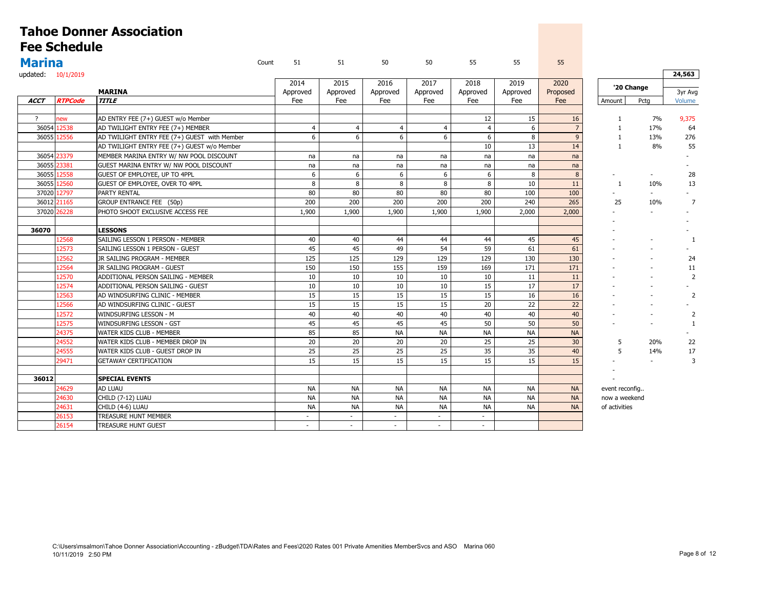|                    |                     | <b>Tahoe Donner Association</b>              |       |                |                |                |                |                |           |                |                |                |                |
|--------------------|---------------------|----------------------------------------------|-------|----------------|----------------|----------------|----------------|----------------|-----------|----------------|----------------|----------------|----------------|
|                    | <b>Fee Schedule</b> |                                              |       |                |                |                |                |                |           |                |                |                |                |
| <b>Marina</b>      |                     |                                              | Count | 51             | 51             | 50             | 50             | 55             | 55        | 55             |                |                |                |
| updated: 10/1/2019 |                     |                                              |       |                |                |                |                |                |           |                |                |                | 24,563         |
|                    |                     |                                              |       | 2014           | 2015           | 2016           | 2017           | 2018           | 2019      | 2020           |                |                |                |
|                    |                     | <b>MARINA</b>                                |       | Approved       | Approved       | Approved       | Approved       | Approved       | Approved  | Proposed       |                | '20 Change     | 3yr Avg        |
| ACCT               | <b>RTPCode</b>      | <b>TITLE</b>                                 |       | Fee            | Fee            | Fee            | Fee            | Fee            | Fee       | Fee            | Amount         | Pctg           | Volume         |
|                    |                     |                                              |       |                |                |                |                |                |           |                |                |                |                |
| $\overline{?}$     | ew                  | AD ENTRY FEE (7+) GUEST w/o Member           |       |                |                |                |                | 12             | 15        | 16             | $\mathbf{1}$   | 7%             | 9,375          |
|                    | 36054 12538         | AD TWILIGHT ENTRY FEE (7+) MEMBER            |       | $\overline{4}$ | $\overline{4}$ | $\overline{4}$ | $\overline{4}$ | $\overline{4}$ | 6         | $\overline{7}$ | $\mathbf{1}$   | 17%            | 64             |
|                    | 36055 12556         | AD TWILIGHT ENTRY FEE (7+) GUEST with Member |       | 6              | 6              | 6              | 6              | 6              | 8         | 9              | $\mathbf{1}$   | 13%            | 276            |
|                    |                     | AD TWILIGHT ENTRY FEE (7+) GUEST w/o Member  |       |                |                |                |                | 10             | 13        | 14             | $\mathbf{1}$   | 8%             | 55             |
|                    | 36054 23379         | MEMBER MARINA ENTRY W/ NW POOL DISCOUNT      |       | na             | na             | na             | na             | na             | na        | na             |                |                |                |
|                    | 36055 23381         | GUEST MARINA ENTRY W/ NW POOL DISCOUNT       |       | na             | na             | na             | na             | na             | na        | na             |                |                |                |
|                    | 36055 12558         | GUEST OF EMPLOYEE, UP TO 4PPL                |       | 6              | 6              | 6              | 6              | 6              | 8         | 8              |                |                | 28             |
| 36055              | 12560               | GUEST OF EMPLOYEE, OVER TO 4PPL              |       | 8              | 8              | 8              | 8              | 8              | 10        | 11             | 1              | 10%            | 13             |
|                    | 37020 12797         | <b>PARTY RENTAL</b>                          |       | 80             | 80             | 80             | 80             | 80             | 100       | 100            |                |                |                |
|                    | 36012 21165         | GROUP ENTRANCE FEE (50p)                     |       | 200            | 200            | 200            | 200            | 200            | 240       | 265            | 25             | 10%            | 7              |
|                    | 37020 26228         | PHOTO SHOOT EXCLUSIVE ACCESS FEE             |       | 1,900          | 1,900          | 1,900          | 1,900          | 1,900          | 2,000     | 2,000          |                | ÷.             |                |
|                    |                     |                                              |       |                |                |                |                |                |           |                |                |                |                |
| 36070              |                     | <b>LESSONS</b>                               |       |                |                |                |                |                |           |                |                |                |                |
|                    | 12568               | SAILING LESSON 1 PERSON - MEMBER             |       | 40             | 40             | 44             | 44             | 44             | 45        | 45             |                |                | $\mathbf{1}$   |
|                    | 12573               | SAILING LESSON 1 PERSON - GUEST              |       | 45             | 45             | 49             | 54             | 59             | 61        | 61             |                |                |                |
|                    | 12562               | JR SAILING PROGRAM - MEMBER                  |       | 125            | 125            | 129            | 129            | 129            | 130       | 130            |                |                | 24             |
|                    | 12564               | JR SAILING PROGRAM - GUEST                   |       | 150            | 150            | 155            | 159            | 169            | 171       | 171            |                |                | 11             |
|                    | 12570               | ADDITIONAL PERSON SAILING - MEMBER           |       | 10             | 10             | 10             | 10             | 10             | 11        | 11             |                |                | $\overline{2}$ |
|                    | 12574               | ADDITIONAL PERSON SAILING - GUEST            |       | 10             | 10             | 10             | 10             | 15             | 17        | 17             |                |                |                |
|                    | 12563               | AD WINDSURFING CLINIC - MEMBER               |       | 15             | 15             | 15             | 15             | 15             | 16        | 16             |                |                | $\overline{2}$ |
|                    | 12566               | AD WINDSURFING CLINIC - GUEST                |       | 15             | 15             | 15             | 15             | 20             | 22        | 22             |                | $\sim$         |                |
|                    | 12572               | <b>WINDSURFING LESSON - M</b>                |       | 40             | 40             | 40             | 40             | 40             | 40        | 40             |                | $\sim$         | $\overline{2}$ |
|                    | 12575               | WINDSURFING LESSON - GST                     |       | 45             | 45             | 45             | 45             | 50             | 50        | 50             |                |                | 1              |
|                    | 24375               | WATER KIDS CLUB - MEMBER                     |       | 85             | 85             | <b>NA</b>      | <b>NA</b>      | <b>NA</b>      | <b>NA</b> | <b>NA</b>      |                |                |                |
|                    | 24552               | WATER KIDS CLUB - MEMBER DROP IN             |       | 20             | 20             | 20             | 20             | 25             | 25        | 30             | 5              | 20%            | 22             |
|                    | 24555               | WATER KIDS CLUB - GUEST DROP IN              |       | 25             | 25             | 25             | 25             | 35             | 35        | 40             | 5              | 14%            | 17             |
|                    | 29471               | <b>GETAWAY CERTIFICATION</b>                 |       | 15             | 15             | 15             | 15             | 15             | 15        | 15             |                | $\overline{a}$ | 3              |
|                    |                     |                                              |       |                |                |                |                |                |           |                |                |                |                |
| 36012              |                     | <b>SPECIAL EVENTS</b>                        |       |                |                |                |                |                |           |                |                |                |                |
|                    | 24629               | <b>AD LUAU</b>                               |       | NА             | <b>NA</b>      | <b>NA</b>      | <b>NA</b>      | <b>NA</b>      | <b>NA</b> | <b>NA</b>      | event reconfig |                |                |
|                    | 24630               | CHILD (7-12) LUAU                            |       | <b>NA</b>      | <b>NA</b>      | <b>NA</b>      | <b>NA</b>      | <b>NA</b>      | <b>NA</b> | <b>NA</b>      | now a weekend  |                |                |
|                    | 24631               | CHILD (4-6) LUAU                             |       | <b>NA</b>      | <b>NA</b>      | <b>NA</b>      | <b>NA</b>      | <b>NA</b>      | <b>NA</b> | <b>NA</b>      | of activities  |                |                |
|                    | 26153               | TREASURE HUNT MEMBER                         |       | $\sim$         | $\sim$         | $\sim$         | $\sim$         | $\sim$         |           |                |                |                |                |
|                    | 26154               | <b>TREASURE HUNT GUEST</b>                   |       | $\sim$         | $\sim$         | $\sim$         | $\sim$         | $\sim$         |           |                |                |                |                |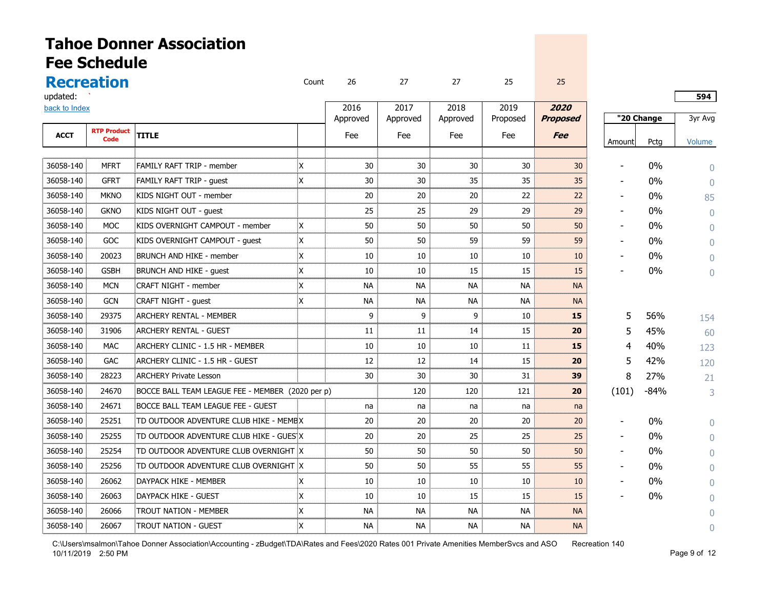|               | <b>Fee Schedule</b> | <b>Tahoe Donner Association</b>                  |       |           |           |           |           |                 |                |            |           |
|---------------|---------------------|--------------------------------------------------|-------|-----------|-----------|-----------|-----------|-----------------|----------------|------------|-----------|
|               | <b>Recreation</b>   |                                                  | Count | 26        | 27        | 27        | 25        | 25              |                |            |           |
| updated:      |                     |                                                  |       |           |           |           |           |                 |                |            | 594       |
| back to Index |                     |                                                  |       | 2016      | 2017      | 2018      | 2019      | 2020            |                |            |           |
|               | <b>RTP Product</b>  |                                                  |       | Approved  | Approved  | Approved  | Proposed  | <b>Proposed</b> |                | "20 Change | 3yr Avg   |
| <b>ACCT</b>   | Code                | <b>TITLE</b>                                     |       | Fee       | Fee       | Fee       | Fee       | <b>Fee</b>      | Amount         | Pctg       | Volume    |
|               |                     |                                                  |       |           |           |           |           |                 |                |            |           |
| 36058-140     | <b>MFRT</b>         | <b>FAMILY RAFT TRIP - member</b>                 | X.    | 30        | 30        | 30        | 30        | 30              | $\blacksquare$ | 0%         | $\Omega$  |
| 36058-140     | <b>GFRT</b>         | <b>FAMILY RAFT TRIP - quest</b>                  | X     | 30        | 30        | 35        | 35        | 35              | $\blacksquare$ | 0%         | $\Omega$  |
| 36058-140     | <b>MKNO</b>         | KIDS NIGHT OUT - member                          |       | 20        | 20        | 20        | 22        | 22              | $\blacksquare$ | 0%         | 85        |
| 36058-140     | <b>GKNO</b>         | KIDS NIGHT OUT - guest                           |       | 25        | 25        | 29        | 29        | 29              |                | $0\%$      | $\Omega$  |
| 36058-140     | <b>MOC</b>          | KIDS OVERNIGHT CAMPOUT - member                  | X.    | 50        | 50        | 50        | 50        | 50              |                | 0%         | $\Omega$  |
| 36058-140     | GOC                 | KIDS OVERNIGHT CAMPOUT - quest                   | X     | 50        | 50        | 59        | 59        | 59              |                | $0\%$      | $\Omega$  |
| 36058-140     | 20023               | BRUNCH AND HIKE - member                         | X     | 10        | 10        | 10        | 10        | 10              |                | 0%         | $\bigcap$ |
| 36058-140     | <b>GSBH</b>         | <b>BRUNCH AND HIKE - quest</b>                   | X     | 10        | 10        | 15        | 15        | 15              |                | $0\%$      | $\Omega$  |
| 36058-140     | <b>MCN</b>          | <b>CRAFT NIGHT - member</b>                      | X     | <b>NA</b> | <b>NA</b> | <b>NA</b> | <b>NA</b> | <b>NA</b>       |                |            |           |
| 36058-140     | <b>GCN</b>          | <b>CRAFT NIGHT - quest</b>                       | X     | <b>NA</b> | <b>NA</b> | <b>NA</b> | <b>NA</b> | <b>NA</b>       |                |            |           |
| 36058-140     | 29375               | <b>ARCHERY RENTAL - MEMBER</b>                   |       | 9         | 9         | 9         | 10        | 15              | 5              | 56%        | 154       |
| 36058-140     | 31906               | ARCHERY RENTAL - GUEST                           |       | 11        | 11        | 14        | 15        | 20              | 5              | 45%        | 60        |
| 36058-140     | <b>MAC</b>          | ARCHERY CLINIC - 1.5 HR - MEMBER                 |       | 10        | 10        | 10        | 11        | 15              | 4              | 40%        | 123       |
| 36058-140     | <b>GAC</b>          | ARCHERY CLINIC - 1.5 HR - GUEST                  |       | 12        | 12        | 14        | 15        | 20              | 5              | 42%        | 120       |
| 36058-140     | 28223               | <b>ARCHERY Private Lesson</b>                    |       | 30        | 30        | 30        | 31        | 39              | 8              | 27%        | 21        |
| 36058-140     | 24670               | BOCCE BALL TEAM LEAGUE FEE - MEMBER (2020 per p) |       |           | 120       | 120       | 121       | 20              | (101)          | $-84%$     | 3         |
| 36058-140     | 24671               | BOCCE BALL TEAM LEAGUE FEE - GUEST               |       | na        | na        | na        | na        | na              |                |            |           |
| 36058-140     | 25251               | TD OUTDOOR ADVENTURE CLUB HIKE - MEMEX           |       | 20        | 20        | 20        | 20        | 20              |                | $0\%$      | $\Omega$  |
| 36058-140     | 25255               | TD OUTDOOR ADVENTURE CLUB HIKE - GUES X          |       | 20        | 20        | 25        | 25        | 25              | $\blacksquare$ | $0\%$      | $\bigcap$ |
| 36058-140     | 25254               | TD OUTDOOR ADVENTURE CLUB OVERNIGHT X            |       | 50        | 50        | 50        | 50        | 50              |                | 0%         |           |
| 36058-140     | 25256               | TD OUTDOOR ADVENTURE CLUB OVERNIGHT X            |       | 50        | 50        | 55        | 55        | 55              |                | $0\%$      | Λ         |
| 36058-140     | 26062               | DAYPACK HIKE - MEMBER                            |       | 10        | 10        | 10        | 10        | 10              |                | $0\%$      | Λ         |
| 36058-140     | 26063               | <b>DAYPACK HIKE - GUEST</b>                      | x     | 10        | 10        | 15        | 15        | 15              |                | 0%         |           |
| 36058-140     | 26066               | <b>TROUT NATION - MEMBER</b>                     | X     | <b>NA</b> | <b>NA</b> | <b>NA</b> | <b>NA</b> | <b>NA</b>       |                |            |           |
| 36058-140     | 26067               | TROUT NATION - GUEST                             | X     | <b>NA</b> | NA.       | <b>NA</b> | <b>NA</b> | <b>NA</b>       |                |            | Λ         |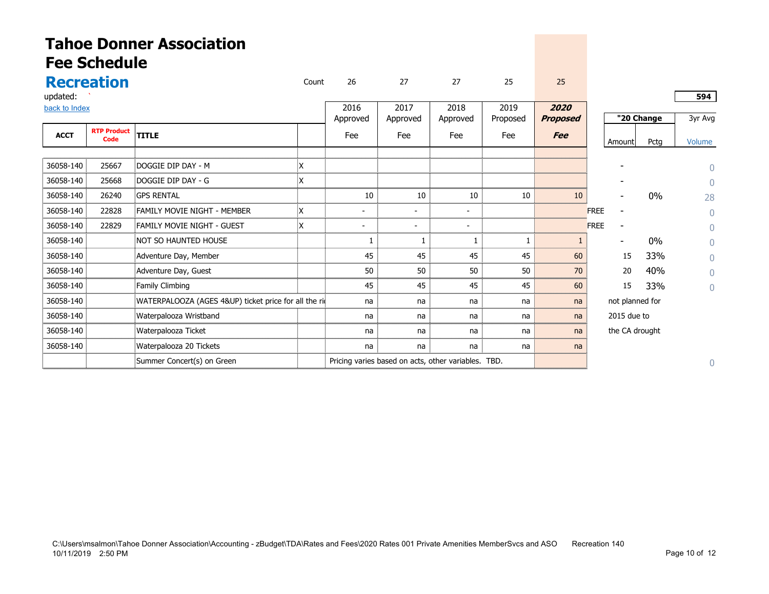|               | <b>Fee Schedule</b> | <b>Tahoe Donner Association</b>                       |       |          |                                                     |          |          |                 |                          |            |          |
|---------------|---------------------|-------------------------------------------------------|-------|----------|-----------------------------------------------------|----------|----------|-----------------|--------------------------|------------|----------|
|               | <b>Recreation</b>   |                                                       | Count | 26       | 27                                                  | 27       | 25       | 25              |                          |            |          |
| updated:      |                     |                                                       |       |          |                                                     |          |          |                 |                          |            | 594      |
| back to Index |                     |                                                       |       | 2016     | 2017                                                | 2018     | 2019     | 2020            |                          |            |          |
|               | <b>RTP Product</b>  |                                                       |       | Approved | Approved                                            | Approved | Proposed | <b>Proposed</b> |                          | "20 Change | 3yr Avg  |
| <b>ACCT</b>   | Code                | <b>TITLE</b>                                          |       | Fee      | Fee                                                 | Fee      | Fee      | <b>Fee</b>      | Amount                   | Pctg       | Volume   |
|               |                     |                                                       |       |          |                                                     |          |          |                 |                          |            |          |
| 36058-140     | 25667               | DOGGIE DIP DAY - M                                    | Х     |          |                                                     |          |          |                 |                          |            | $\Omega$ |
| 36058-140     | 25668               | DOGGIE DIP DAY - G                                    | X     |          |                                                     |          |          |                 |                          |            | $\Omega$ |
| 36058-140     | 26240               | <b>GPS RENTAL</b>                                     |       | 10       | 10                                                  | 10       | 10       | 10              |                          | $0\%$      | 28       |
| 36058-140     | 22828               | <b>FAMILY MOVIE NIGHT - MEMBER</b>                    |       |          |                                                     |          |          |                 | <b>FREE</b>              |            | $\Omega$ |
| 36058-140     | 22829               | FAMILY MOVIE NIGHT - GUEST                            | X.    |          |                                                     |          |          |                 | <b>FREE</b>              |            | $\Omega$ |
| 36058-140     |                     | NOT SO HAUNTED HOUSE                                  |       | 1        | 1                                                   |          |          |                 | $\overline{\phantom{a}}$ | $0\%$      | $\Omega$ |
| 36058-140     |                     | Adventure Day, Member                                 |       | 45       | 45                                                  | 45       | 45       | 60              | 15                       | 33%        | $\Omega$ |
| 36058-140     |                     | Adventure Day, Guest                                  |       | 50       | 50                                                  | 50       | 50       | 70              | 20                       | 40%        | $\Omega$ |
| 36058-140     |                     | Family Climbing                                       |       | 45       | 45                                                  | 45       | 45       | 60              | 15                       | 33%        | $\Omega$ |
| 36058-140     |                     | WATERPALOOZA (AGES 4&UP) ticket price for all the ric |       | na       | na                                                  | na       | na       | na              | not planned for          |            |          |
| 36058-140     |                     | Waterpalooza Wristband                                |       | na       | na                                                  | na       | na       | na              | 2015 due to              |            |          |
| 36058-140     |                     | Waterpalooza Ticket                                   |       | na       | na                                                  | na       | na       | na              | the CA drought           |            |          |
| 36058-140     |                     | Waterpalooza 20 Tickets                               |       | na       | na                                                  | na       | na       | na              |                          |            |          |
|               |                     | Summer Concert(s) on Green                            |       |          | Pricing varies based on acts, other variables. TBD. |          |          |                 |                          |            | 0        |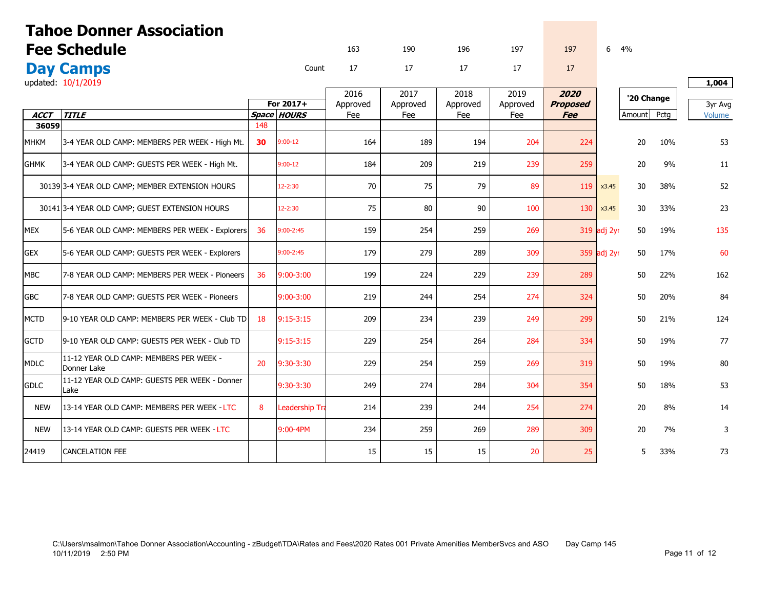| <b>Tahoe Donner Association</b> |                                                        |     |                          |                 |                 |                 |                 |                               |             |            |      |                   |
|---------------------------------|--------------------------------------------------------|-----|--------------------------|-----------------|-----------------|-----------------|-----------------|-------------------------------|-------------|------------|------|-------------------|
|                                 | <b>Fee Schedule</b>                                    |     |                          | 163             | 190             | 196             | 197             | 197                           | 6           | 4%         |      |                   |
|                                 | <b>Day Camps</b>                                       |     | Count                    | 17              | 17              | 17              | 17              | 17                            |             |            |      |                   |
|                                 | updated: 10/1/2019                                     |     |                          |                 |                 |                 |                 |                               |             |            |      | 1,004             |
|                                 |                                                        |     |                          | 2016            | 2017            | 2018            | 2019            | 2020                          |             | '20 Change |      |                   |
| <b>ACCT</b>                     | <b>TITLE</b>                                           |     | For 2017+<br>Space HOURS | Approved<br>Fee | Approved<br>Fee | Approved<br>Fee | Approved<br>Fee | <b>Proposed</b><br><b>Fee</b> |             | Amount     | Pctg | 3yr Avg<br>Volume |
| 36059                           |                                                        | 148 |                          |                 |                 |                 |                 |                               |             |            |      |                   |
| <b>MHKM</b>                     | 3-4 YEAR OLD CAMP: MEMBERS PER WEEK - High Mt.         | 30  | $9:00-12$                | 164             | 189             | 194             | 204             | 224                           |             | 20         | 10%  | 53                |
| <b>GHMK</b>                     | 3-4 YEAR OLD CAMP: GUESTS PER WEEK - High Mt.          |     | $9:00 - 12$              | 184             | 209             | 219             | 239             | 259                           |             | 20         | 9%   | 11                |
|                                 | 30139 3-4 YEAR OLD CAMP; MEMBER EXTENSION HOURS        |     | $12 - 2:30$              | 70              | 75              | 79              | 89              | 119                           | x3.45       | 30         | 38%  | 52                |
|                                 | 30141 3-4 YEAR OLD CAMP; GUEST EXTENSION HOURS         |     | $12 - 2:30$              | 75              | 80              | 90              | 100             | 130                           | x3.45       | 30         | 33%  | 23                |
| <b>MEX</b>                      | 5-6 YEAR OLD CAMP: MEMBERS PER WEEK - Explorers        | 36  | $9:00 - 2:45$            | 159             | 254             | 259             | 269             |                               | 319 adj 2yr | 50         | 19%  | 135               |
| <b>GEX</b>                      | 5-6 YEAR OLD CAMP: GUESTS PER WEEK - Explorers         |     | $9:00 - 2:45$            | 179             | 279             | 289             | 309             |                               | 359 adj 2yr | 50         | 17%  | 60                |
| <b>MBC</b>                      | 7-8 YEAR OLD CAMP: MEMBERS PER WEEK - Pioneers         | 36  | $9:00 - 3:00$            | 199             | 224             | 229             | 239             | 289                           |             | 50         | 22%  | 162               |
| <b>GBC</b>                      | 7-8 YEAR OLD CAMP: GUESTS PER WEEK - Pioneers          |     | $9:00 - 3:00$            | 219             | 244             | 254             | 274             | 324                           |             | 50         | 20%  | 84                |
| <b>MCTD</b>                     | 9-10 YEAR OLD CAMP: MEMBERS PER WEEK - Club TD         | 18  | $9:15-3:15$              | 209             | 234             | 239             | 249             | 299                           |             | 50         | 21%  | 124               |
| <b>GCTD</b>                     | 9-10 YEAR OLD CAMP: GUESTS PER WEEK - Club TD          |     | $9:15-3:15$              | 229             | 254             | 264             | 284             | 334                           |             | 50         | 19%  | 77                |
| <b>MDLC</b>                     | 11-12 YEAR OLD CAMP: MEMBERS PER WEEK -<br>Donner Lake | 20  | 9:30-3:30                | 229             | 254             | 259             | 269             | 319                           |             | 50         | 19%  | 80                |
| <b>GDLC</b>                     | 11-12 YEAR OLD CAMP: GUESTS PER WEEK - Donner<br>Lake  |     | 9:30-3:30                | 249             | 274             | 284             | 304             | 354                           |             | 50         | 18%  | 53                |
| <b>NEW</b>                      | 13-14 YEAR OLD CAMP: MEMBERS PER WEEK - LTC            | 8   | <b>Leadership Tra</b>    | 214             | 239             | 244             | 254             | 274                           |             | 20         | 8%   | 14                |
| <b>NEW</b>                      | 13-14 YEAR OLD CAMP: GUESTS PER WEEK - LTC             |     | $9:00 - 4PM$             | 234             | 259             | 269             | 289             | 309                           |             | 20         | 7%   | 3                 |
| 24419                           | <b>CANCELATION FEE</b>                                 |     |                          | 15              | 15              | 15              | 20              | 25                            |             | 5          | 33%  | 73                |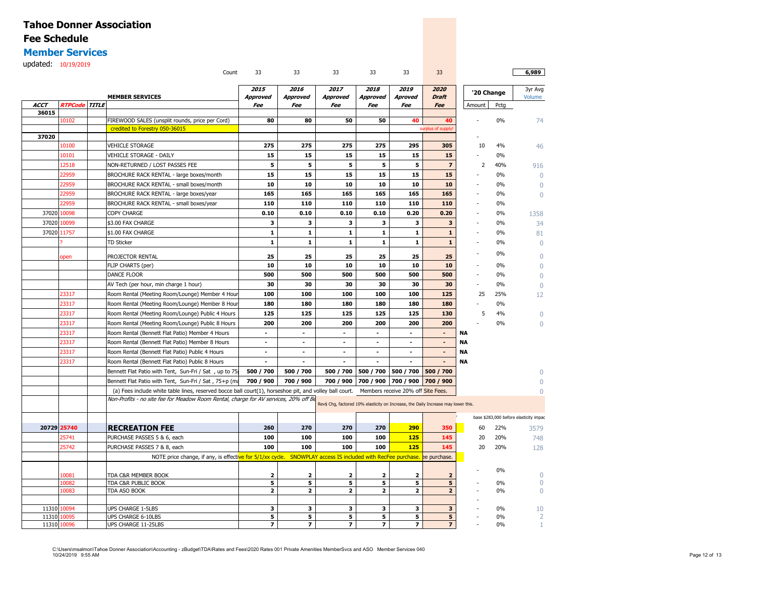#### **Member Services**

updated: 10/19/2019

|             |                      | Count                                                                                                       | 33                       | 33              | 33                                                                                 | 33                       | 33                                 | 33                      |           |            | 6,989                                  |
|-------------|----------------------|-------------------------------------------------------------------------------------------------------------|--------------------------|-----------------|------------------------------------------------------------------------------------|--------------------------|------------------------------------|-------------------------|-----------|------------|----------------------------------------|
|             |                      |                                                                                                             | 2015                     | 2016            | 2017                                                                               | 2018                     | 2019                               | 2020                    |           |            | 3yr Avg                                |
|             |                      | <b>MEMBER SERVICES</b>                                                                                      | <b>Approved</b>          | <b>Approved</b> | <b>Approved</b>                                                                    | Approved                 | Aproved                            | <b>Draft</b>            |           | '20 Change | Volume                                 |
| <b>ACCT</b> | <b>RTPCode TITLE</b> |                                                                                                             | Fee                      | Fee             | Fee                                                                                | Fee                      | Fee                                | Fee                     | Amount    | Pctg       |                                        |
| 36015       |                      |                                                                                                             |                          |                 |                                                                                    |                          |                                    |                         |           |            |                                        |
|             | 10102                | FIREWOOD SALES (unsplit rounds, price per Cord)                                                             | 80                       | 80              | 50                                                                                 | 50                       | 40                                 | 40                      |           | 0%         | 74                                     |
| 37020       |                      | credited to Forestry 050-36015                                                                              |                          |                 |                                                                                    |                          |                                    | surplus of supply       |           |            |                                        |
|             | 10100                | <b>VEHICLE STORAGE</b>                                                                                      | 275                      | 275             | 275                                                                                | 275                      | 295                                | 305                     | 10        | 4%         | 46                                     |
|             | 10101                | VEHICLE STORAGE - DAILY                                                                                     | 15                       | 15              | 15                                                                                 | 15                       | 15                                 | 15                      |           | 0%         |                                        |
|             | 12518                | NON-RETURNED / LOST PASSES FEE                                                                              | 5                        | 5               | 5                                                                                  | 5                        | 5                                  | $\overline{7}$          | 2         | 40%        |                                        |
|             | 22959                | BROCHURE RACK RENTAL - large boxes/month                                                                    | 15                       | 15              | 15                                                                                 | 15                       | 15                                 | 15                      |           | 0%         | 916<br>$\Omega$                        |
|             | 22959                | BROCHURE RACK RENTAL - small boxes/month                                                                    | 10                       | 10              | 10                                                                                 | 10                       | 10                                 | 10                      |           | 0%         |                                        |
|             | 22959                | BROCHURE RACK RENTAL - large boxes/year                                                                     | 165                      | 165             | 165                                                                                | 165                      | 165                                | 165                     |           | $0\%$      | $\Omega$                               |
|             |                      |                                                                                                             | 110                      | 110             | 110                                                                                | 110                      | 110                                | 110                     |           |            | $\Omega$                               |
|             | 22959<br>37020 10098 | BROCHURE RACK RENTAL - small boxes/year                                                                     | 0.10                     | 0.10            | 0.10                                                                               | 0.10                     | 0.20                               | 0.20                    |           | 0%         |                                        |
|             |                      | COPY CHARGE                                                                                                 |                          |                 |                                                                                    |                          |                                    |                         |           | 0%         | 1358                                   |
| 37020       | 10099                | \$3.00 FAX CHARGE                                                                                           | 3                        | 3               | 3                                                                                  | 3                        | 3                                  | $\overline{\mathbf{3}}$ |           | $0\%$      | 34                                     |
|             | 37020 11757          | \$1.00 FAX CHARGE                                                                                           | $\mathbf{1}$             | $\mathbf 1$     | ${\bf 1}$                                                                          | 1                        | $\mathbf{1}$                       | $\mathbf{1}$            |           | 0%         | 81                                     |
|             |                      | <b>TD Sticker</b>                                                                                           | $\mathbf 1$              | $\mathbf 1$     | $\mathbf{1}$                                                                       | $\mathbf 1$              | ${\bf 1}$                          | ${\bf 1}$               |           | 0%         | $\Omega$                               |
|             | open                 | PROJECTOR RENTAL                                                                                            | 25                       | 25              | 25                                                                                 | 25                       | 25                                 | 25                      |           | 0%         | $\Omega$                               |
|             |                      | FLIP CHARTS (per)                                                                                           | 10                       | 10              | 10                                                                                 | 10                       | 10                                 | 10                      |           | 0%         | $\Omega$                               |
|             |                      | DANCE FLOOR                                                                                                 | 500                      | 500             | 500                                                                                | 500                      | 500                                | 500                     | Ĭ.        | $0\%$      | $\Omega$                               |
|             |                      | AV Tech (per hour, min charge 1 hour)                                                                       | 30                       | 30              | 30                                                                                 | 30                       | 30                                 | 30                      |           | 0%         | $\Omega$                               |
|             | 23317                | Room Rental (Meeting Room/Lounge) Member 4 Hou                                                              | 100                      | 100             | 100                                                                                | 100                      | 100                                | 125                     | 25        | 25%        | 12                                     |
|             | 23317                | Room Rental (Meeting Room/Lounge) Member 8 Hour                                                             | 180                      | 180             | 180                                                                                | 180                      | 180                                | 180                     |           | 0%         |                                        |
|             | 23317                | Room Rental (Meeting Room/Lounge) Public 4 Hours                                                            | 125                      | 125             | 125                                                                                | 125                      | 125                                | 130                     | 5         | 4%         | $\Omega$                               |
|             | 23317                | Room Rental (Meeting Room/Lounge) Public 8 Hours                                                            | 200                      | 200             | 200                                                                                | 200                      | 200                                | 200                     |           | 0%         | $\Omega$                               |
|             | 23317                | Room Rental (Bennett Flat Patio) Member 4 Hours                                                             | $\sim$                   | $\sim$          | $\sim$                                                                             | $\sim$                   | $\sim$                             | $\blacksquare$          | ΝA        |            |                                        |
|             | 23317                | Room Rental (Bennett Flat Patio) Member 8 Hours                                                             | $\blacksquare$           | $\blacksquare$  | $\blacksquare$                                                                     | $\blacksquare$           | $\blacksquare$                     | $\blacksquare$          | <b>NA</b> |            |                                        |
|             | 23317                | Room Rental (Bennett Flat Patio) Public 4 Hours                                                             | $\overline{\phantom{a}}$ | $\blacksquare$  | $\blacksquare$                                                                     | $\overline{\phantom{a}}$ | $\blacksquare$                     | $\blacksquare$          | <b>NA</b> |            |                                        |
|             | 23317                | Room Rental (Bennett Flat Patio) Public 8 Hours                                                             | $\blacksquare$           | $\sim$          | $\blacksquare$                                                                     |                          |                                    | $\blacksquare$          | <b>NA</b> |            |                                        |
|             |                      | Bennett Flat Patio with Tent, Sun-Fri / Sat, up to 75                                                       | 500 / 700                | 500 / 700       | 500 / 700                                                                          | 500 / 700                | 500 / 700                          | 500 / 700               |           |            |                                        |
|             |                      | Bennett Flat Patio with Tent, Sun-Fri / Sat , 75+p (ma                                                      | 700 / 900                | 700 / 900       | 700 / 900                                                                          | 700 / 900                | 700 / 900                          | 700 / 900               |           |            |                                        |
|             |                      | (a) Fees include white table lines, reserved bocce ball court(1), horseshoe pit, and volley ball court.     |                          |                 |                                                                                    |                          | Members receive 20% off Site Fees. |                         |           |            | $\Omega$                               |
|             |                      | Non-Profits - no site fee for Meadow Room Rental, charge for AV services, 20% off Be                        |                          |                 |                                                                                    |                          |                                    |                         |           |            |                                        |
|             |                      |                                                                                                             |                          |                 | Rev\$ Chg, factored 10% elasticity on Increase, the Daily Increase may lower this. |                          |                                    |                         |           |            |                                        |
|             |                      |                                                                                                             |                          |                 |                                                                                    |                          |                                    |                         |           |            | base \$283,000 before elasticity impac |
|             | 20729 25740          | <b>RECREATION FEE</b>                                                                                       | 260                      | 270             | 270                                                                                | 270                      | 290                                | 350                     | 60        | 22%        | 3579                                   |
|             | 25741                | PURCHASE PASSES 5 & 6, each                                                                                 | 100                      | 100             | 100                                                                                | 100                      | 125                                | 145                     | 20        | 20%        | 748                                    |
|             | 25742                | PURCHASE PASSES 7 & 8, each                                                                                 | 100                      | 100             | 100                                                                                | 100                      | 125                                | 145                     | 20        | 20%        | 128                                    |
|             |                      | NOTE price change, if any, is effective for 5/1/xx cycle. SNOWPLAY access IS included with RecFee purchase. |                          |                 |                                                                                    |                          |                                    | ee purchase.            |           |            |                                        |
|             |                      |                                                                                                             |                          |                 |                                                                                    |                          |                                    |                         |           |            |                                        |
|             | 10081                | TDA C&R MEMBER BOOK                                                                                         | 2                        | 2               | 2                                                                                  | 2                        | 2                                  | $\overline{\mathbf{z}}$ |           | 0%         | $\bigcap$                              |
|             | 10082                | TDA C&R PUBLIC BOOK                                                                                         | 5                        | 5               | 5                                                                                  | 5                        | 5                                  | 5                       |           | 0%         | $\mathbf 0$                            |
|             | 10083                | TDA ASO BOOK                                                                                                | $\mathbf{z}$             | $\mathbf{z}$    | $\mathbf{z}$                                                                       | $\overline{\mathbf{z}}$  | $\overline{\mathbf{2}}$            | $\overline{2}$          |           | 0%         | $\Omega$                               |
|             |                      |                                                                                                             |                          |                 |                                                                                    |                          |                                    |                         |           |            |                                        |
|             | 11310 10094          | UPS CHARGE 1-5LBS                                                                                           | 3                        | з               | 3                                                                                  | 3                        | 3                                  | 3                       |           | 0%         | 10                                     |
|             | 11310 10095          | UPS CHARGE 6-10LBS                                                                                          | 5                        | 5               | 5                                                                                  | 5                        | 5                                  | 5                       |           | 0%         | $\overline{2}$                         |
|             | 11310 10096          | UPS CHARGE 11-25LBS                                                                                         | $\overline{ }$           | $\overline{ }$  | $\overline{ }$                                                                     | $\overline{ }$           | $\overline{ }$                     | $\overline{ }$          |           | $0\%$      |                                        |